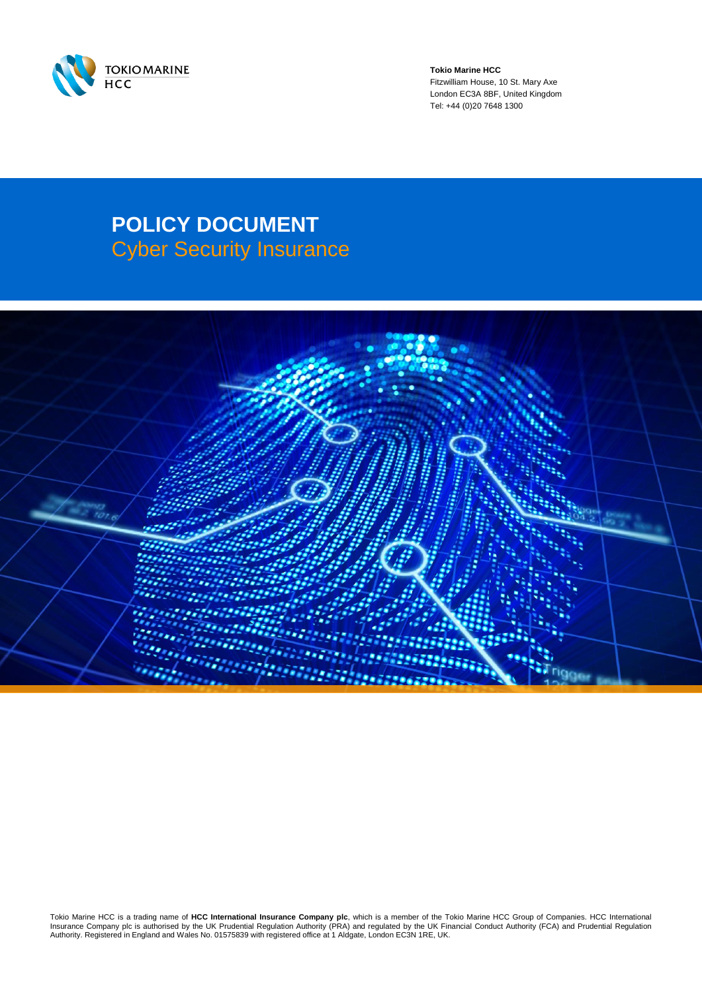

**Tokio Marine HCC** Fitzwilliam House, 10 St. Mary Axe London EC3A 8BF, United Kingdom Tel: +44 (0)20 7648 1300

# **POLICY DOCUMENT** Cyber Security Insurance



Tokio Marine HCC is a trading name of **HCC International Insurance Company plc**, which is a member of the Tokio Marine HCC Group of Companies. HCC International<br>Insurance Company plc is authorised by the UK Prudential Regu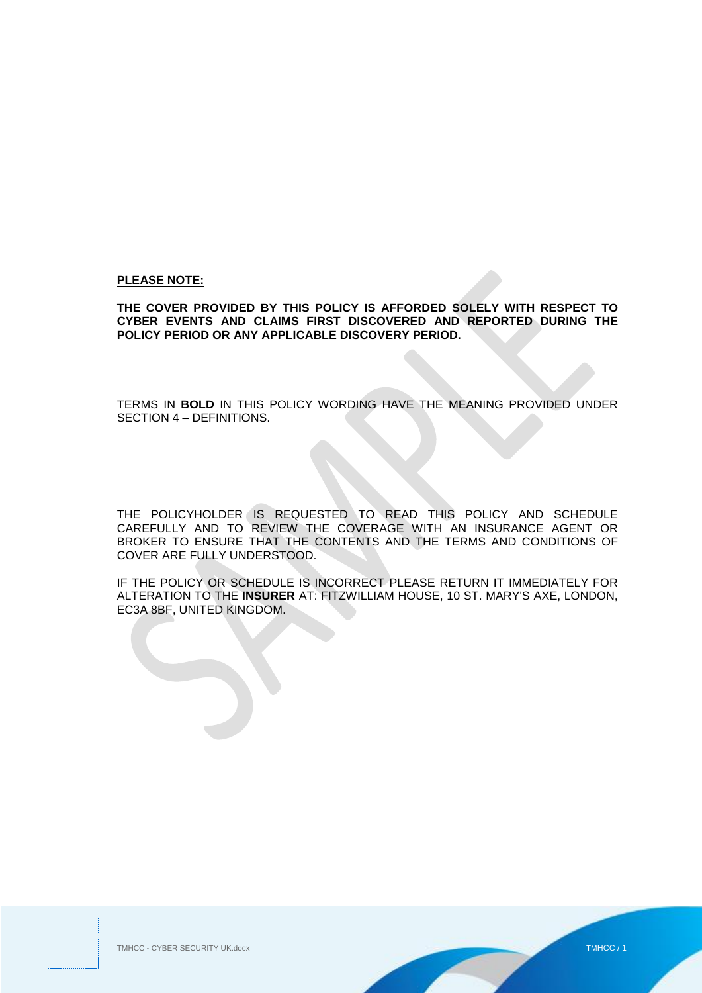### **PLEASE NOTE:**

**THE COVER PROVIDED BY THIS POLICY IS AFFORDED SOLELY WITH RESPECT TO CYBER EVENTS AND CLAIMS FIRST DISCOVERED AND REPORTED DURING THE POLICY PERIOD OR ANY APPLICABLE DISCOVERY PERIOD.**

TERMS IN **BOLD** IN THIS POLICY WORDING HAVE THE MEANING PROVIDED UNDER SECTION 4 – DEFINITIONS.

THE POLICYHOLDER IS REQUESTED TO READ THIS POLICY AND SCHEDULE CAREFULLY AND TO REVIEW THE COVERAGE WITH AN INSURANCE AGENT OR BROKER TO ENSURE THAT THE CONTENTS AND THE TERMS AND CONDITIONS OF COVER ARE FULLY UNDERSTOOD.

IF THE POLICY OR SCHEDULE IS INCORRECT PLEASE RETURN IT IMMEDIATELY FOR ALTERATION TO THE **INSURER** AT: FITZWILLIAM HOUSE, 10 ST. MARY'S AXE, LONDON, EC3A 8BF, UNITED KINGDOM.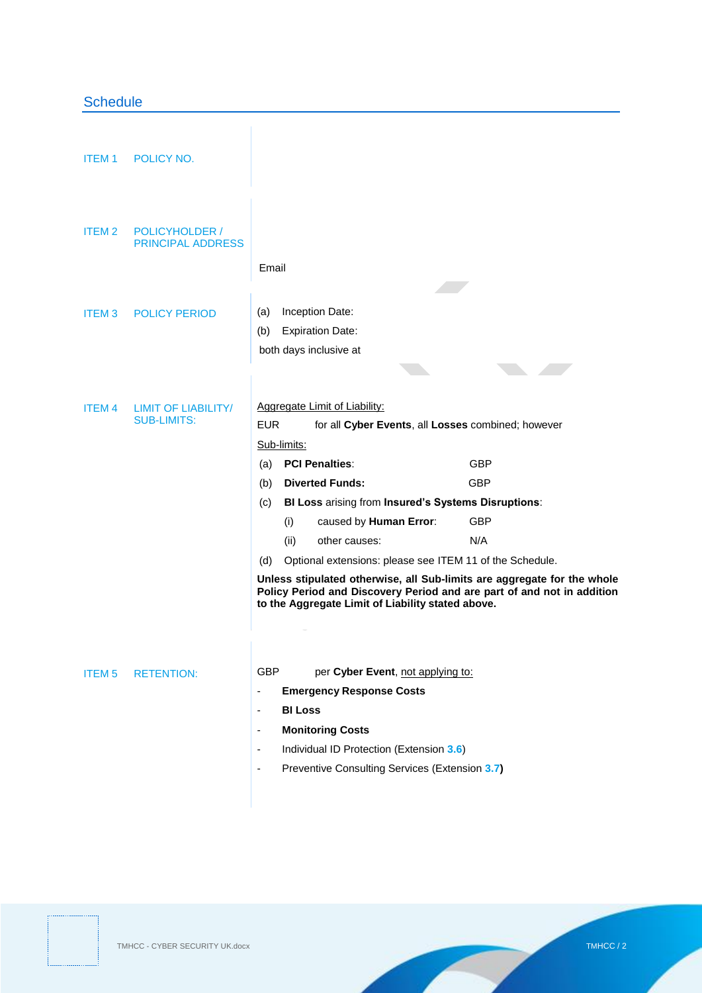# <span id="page-2-0"></span>**Schedule**

<span id="page-2-4"></span><span id="page-2-3"></span><span id="page-2-2"></span><span id="page-2-1"></span>

| ITEM 1                  | POLICY NO.                                 |                                                                                                                                                                                                                                                                                                                                                                                                                                                                                                                                                                        |                                               |
|-------------------------|--------------------------------------------|------------------------------------------------------------------------------------------------------------------------------------------------------------------------------------------------------------------------------------------------------------------------------------------------------------------------------------------------------------------------------------------------------------------------------------------------------------------------------------------------------------------------------------------------------------------------|-----------------------------------------------|
| ITEM 2                  | POLICYHOLDER /<br><b>PRINCIPAL ADDRESS</b> | Email                                                                                                                                                                                                                                                                                                                                                                                                                                                                                                                                                                  |                                               |
| <b>ITEM3</b>            | <b>POLICY PERIOD</b>                       | Inception Date:<br>(a)<br><b>Expiration Date:</b><br>(b)<br>both days inclusive at                                                                                                                                                                                                                                                                                                                                                                                                                                                                                     |                                               |
| <b>ITEM4</b>            | LIMIT OF LIABILITY/<br><b>SUB-LIMITS:</b>  | Aggregate Limit of Liability:<br>for all Cyber Events, all Losses combined; however<br>EUR.<br>Sub-limits:<br>(a) PCI Penalties:<br><b>Diverted Funds:</b><br>(b)<br>BI Loss arising from Insured's Systems Disruptions:<br>(c)<br>caused by Human Error:<br>(i)<br>(ii)<br>other causes:<br>Optional extensions: please see ITEM 11 of the Schedule.<br>(d)<br>Unless stipulated otherwise, all Sub-limits are aggregate for the whole<br>Policy Period and Discovery Period and are part of and not in addition<br>to the Aggregate Limit of Liability stated above. | <b>GBP</b><br><b>GBP</b><br><b>GBP</b><br>N/A |
| <b>ITEM<sub>5</sub></b> | <b>RETENTION:</b>                          | per Cyber Event, not applying to:<br><b>GBP</b><br><b>Emergency Response Costs</b><br><b>BI Loss</b><br>$\overline{\phantom{0}}$<br><b>Monitoring Costs</b><br>$\overline{a}$<br>Individual ID Protection (Extension 3.6)<br>Preventive Consulting Services (Extension 3.7)<br>$\blacksquare$                                                                                                                                                                                                                                                                          |                                               |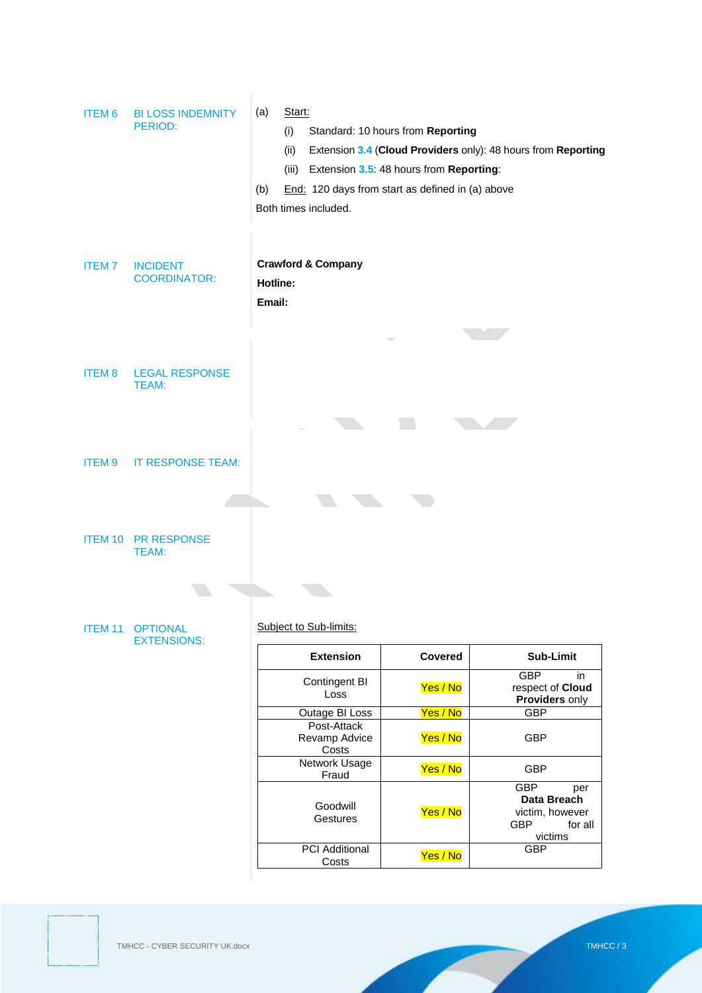<span id="page-3-5"></span><span id="page-3-4"></span><span id="page-3-3"></span><span id="page-3-2"></span><span id="page-3-1"></span><span id="page-3-0"></span>

| ITEM 6         | <b>BI LOSS INDEMNITY</b><br>PERIOD:        | Start:<br>(a)<br>(i)<br>(ii)<br>(iii)<br>(b)<br>Both times included. |                                       | Standard: 10 hours from Reporting<br>Extension 3.5: 48 hours from Reporting:<br>End: 120 days from start as defined in (a) above | Extension 3.4 (Cloud Providers only): 48 hours from Reporting                           |
|----------------|--------------------------------------------|----------------------------------------------------------------------|---------------------------------------|----------------------------------------------------------------------------------------------------------------------------------|-----------------------------------------------------------------------------------------|
| <b>ITEM7</b>   | <b>INCIDENT</b><br><b>COORDINATOR:</b>     | <b>Crawford &amp; Company</b><br>Hotline:<br>Email:                  |                                       |                                                                                                                                  |                                                                                         |
| <b>ITEM8</b>   | <b>LEGAL RESPONSE</b><br><b>TEAM:</b>      |                                                                      |                                       |                                                                                                                                  |                                                                                         |
| ITEM 9         | IT RESPONSE TEAM:                          |                                                                      |                                       |                                                                                                                                  |                                                                                         |
|                | <b>ITEM 10 PR RESPONSE</b><br><b>TEAM:</b> |                                                                      |                                       |                                                                                                                                  |                                                                                         |
|                |                                            |                                                                      |                                       |                                                                                                                                  |                                                                                         |
| <b>ITEM 11</b> | <b>OPTIONAL</b><br><b>EXTENSIONS:</b>      | Subject to Sub-limits:                                               |                                       |                                                                                                                                  |                                                                                         |
|                |                                            |                                                                      | <b>Extension</b>                      | Covered                                                                                                                          | Sub-Limit                                                                               |
|                |                                            |                                                                      | Contingent BI<br>Loss                 | Yes / No                                                                                                                         | <b>GBP</b><br>in<br>respect of Cloud<br>Providers only                                  |
|                |                                            |                                                                      | Outage BI Loss                        | Yes / No                                                                                                                         | GBP                                                                                     |
|                |                                            |                                                                      | Post-Attack<br>Revamp Advice<br>Costs | Yes / No                                                                                                                         | <b>GBP</b>                                                                              |
|                |                                            |                                                                      | <b>Network Usage</b><br>Fraud         | Yes / No                                                                                                                         | <b>GBP</b>                                                                              |
|                |                                            |                                                                      | Goodwill<br>Gestures                  | Yes / No                                                                                                                         | <b>GBP</b><br>per<br>Data Breach<br>victim, however<br><b>GBP</b><br>for all<br>victims |
|                |                                            |                                                                      | <b>PCI</b> Additional<br>Costs        | Yes / No                                                                                                                         | <b>GBP</b>                                                                              |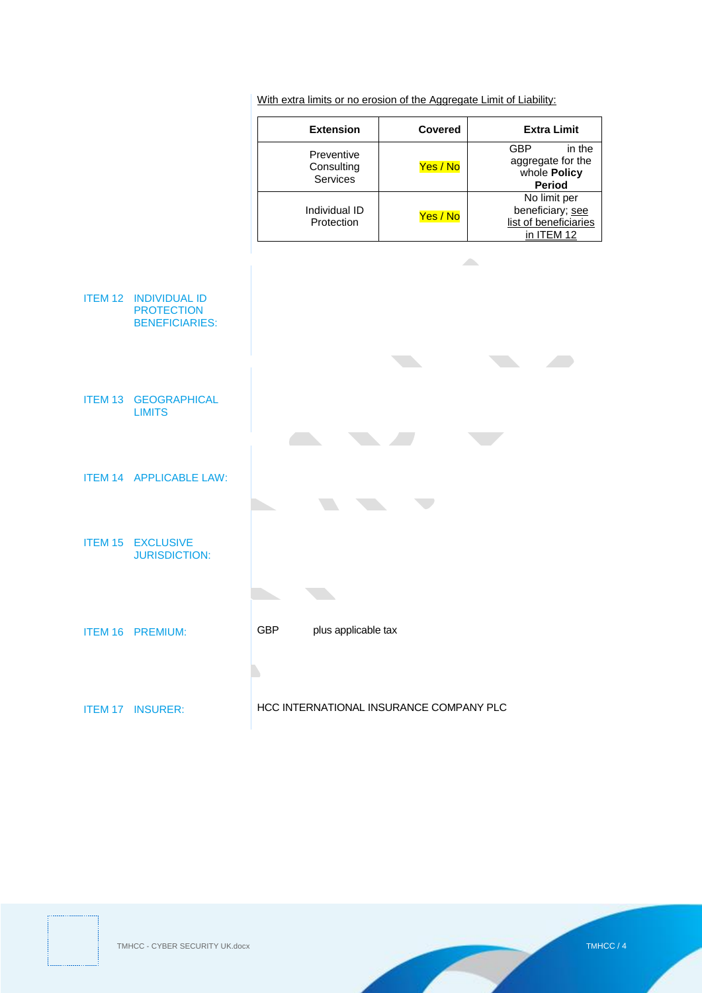With extra limits or no erosion of the Aggregate Limit of Liability:

<span id="page-4-3"></span><span id="page-4-2"></span><span id="page-4-1"></span><span id="page-4-0"></span>

|                                                                     | <b>Extension</b>                        | <b>Covered</b> | <b>Extra Limit</b>                                                      |
|---------------------------------------------------------------------|-----------------------------------------|----------------|-------------------------------------------------------------------------|
|                                                                     | Preventive<br>Consulting<br>Services    | Yes / No       | <b>GBP</b><br>in the<br>aggregate for the<br>whole Policy<br>Period     |
|                                                                     | Individual ID<br>Protection             | Yes / No       | No limit per<br>beneficiary; see<br>list of beneficiaries<br>in ITEM 12 |
|                                                                     |                                         |                |                                                                         |
| ITEM 12 INDIVIDUAL ID<br><b>PROTECTION</b><br><b>BENEFICIARIES:</b> |                                         |                |                                                                         |
|                                                                     |                                         |                |                                                                         |
| <b>ITEM 13 GEOGRAPHICAL</b><br><b>LIMITS</b>                        |                                         |                |                                                                         |
|                                                                     |                                         |                |                                                                         |
| ITEM 14 APPLICABLE LAW:                                             |                                         |                |                                                                         |
| <b>ITEM 15 EXCLUSIVE</b><br><b>JURISDICTION:</b>                    |                                         |                |                                                                         |
|                                                                     |                                         |                |                                                                         |
|                                                                     |                                         |                |                                                                         |
| ITEM 16 PREMIUM:                                                    | <b>GBP</b><br>plus applicable tax       |                |                                                                         |
|                                                                     |                                         |                |                                                                         |
| <b>ITEM 17 INSURER:</b>                                             | HCC INTERNATIONAL INSURANCE COMPANY PLC |                |                                                                         |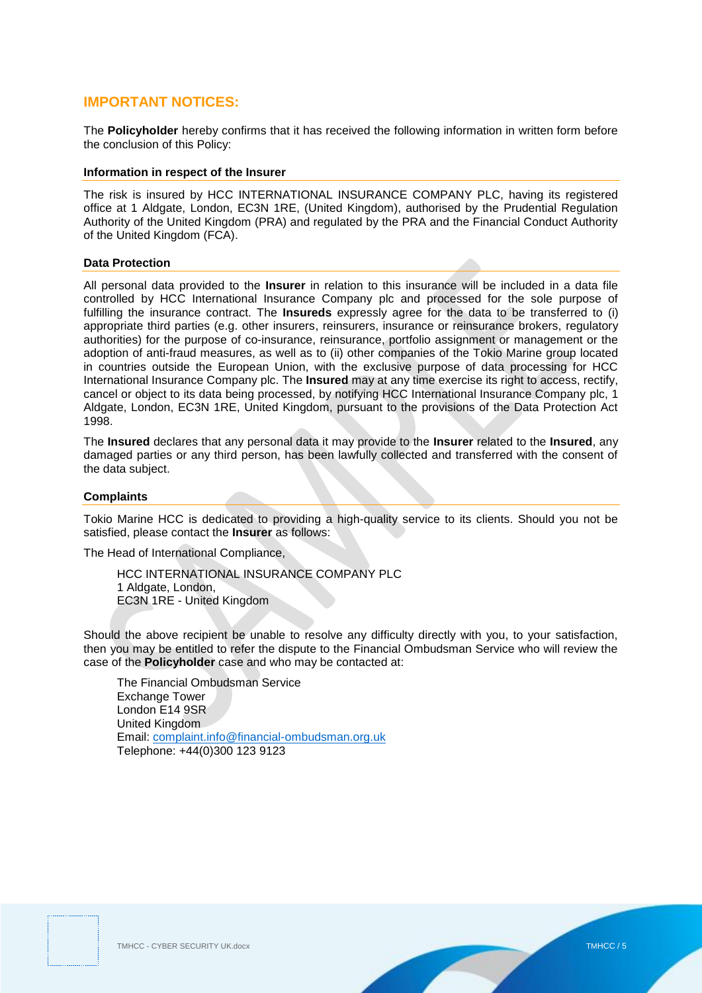## **IMPORTANT NOTICES:**

The **Policyholder** hereby confirms that it has received the following information in written form before the conclusion of this Policy:

### **Information in respect of the Insurer**

The risk is insured by HCC INTERNATIONAL INSURANCE COMPANY PLC, having its registered office at 1 Aldgate, London, EC3N 1RE, (United Kingdom), authorised by the Prudential Regulation Authority of the United Kingdom (PRA) and regulated by the PRA and the Financial Conduct Authority of the United Kingdom (FCA).

### **Data Protection**

All personal data provided to the **Insurer** in relation to this insurance will be included in a data file controlled by HCC International Insurance Company plc and processed for the sole purpose of fulfilling the insurance contract. The **Insureds** expressly agree for the data to be transferred to (i) appropriate third parties (e.g. other insurers, reinsurers, insurance or reinsurance brokers, regulatory authorities) for the purpose of co-insurance, reinsurance, portfolio assignment or management or the adoption of anti-fraud measures, as well as to (ii) other companies of the Tokio Marine group located in countries outside the European Union, with the exclusive purpose of data processing for HCC International Insurance Company plc. The **Insured** may at any time exercise its right to access, rectify, cancel or object to its data being processed, by notifying HCC International Insurance Company plc, 1 Aldgate, London, EC3N 1RE, United Kingdom, pursuant to the provisions of the Data Protection Act 1998.

The **Insured** declares that any personal data it may provide to the **Insurer** related to the **Insured**, any damaged parties or any third person, has been lawfully collected and transferred with the consent of the data subject.

### **Complaints**

Tokio Marine HCC is dedicated to providing a high-quality service to its clients. Should you not be satisfied, please contact the **Insurer** as follows:

The Head of International Compliance,

HCC INTERNATIONAL INSURANCE COMPANY PLC 1 Aldgate, London, EC3N 1RE - United Kingdom

Should the above recipient be unable to resolve any difficulty directly with you, to your satisfaction, then you may be entitled to refer the dispute to the Financial Ombudsman Service who will review the case of the **Policyholder** case and who may be contacted at:

The Financial Ombudsman Service Exchange Tower London E14 9SR United Kingdom Email: [complaint.info@financial-ombudsman.org.uk](mailto:complaint.info@financial-ombudsman.org.uk) Telephone: +44(0)300 123 9123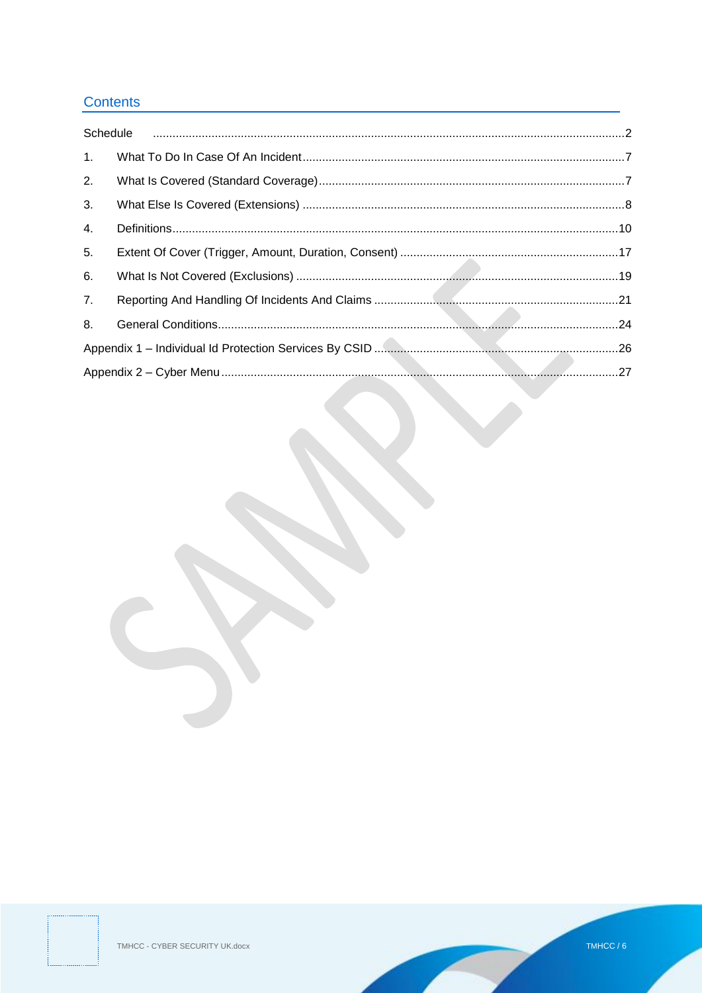# Contents

| 1. |  |
|----|--|
| 2. |  |
| 3. |  |
| 4. |  |
| 5. |  |
| 6. |  |
| 7. |  |
| 8. |  |
|    |  |
|    |  |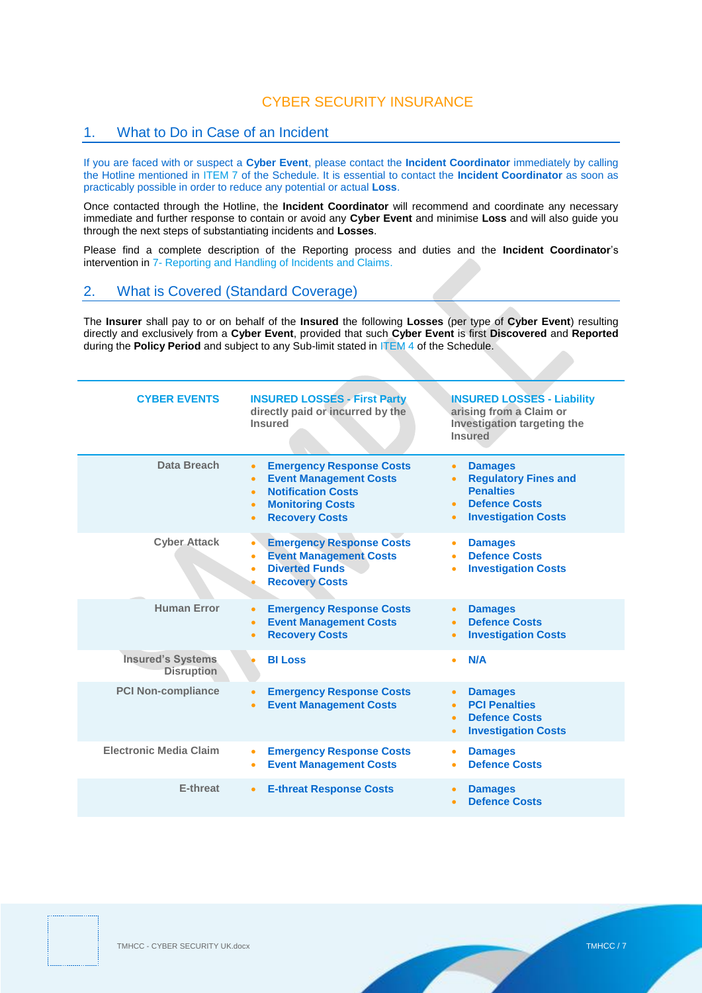# CYBER SECURITY INSURANCE

### <span id="page-7-0"></span>1. What to Do in Case of an Incident

If you are faced with or suspect a **Cyber Event**, please contact the **Incident Coordinator** immediately by calling the Hotline mentioned in [ITEM 7](#page-3-1) of the Schedule. It is essential to contact the **Incident Coordinator** as soon as practicably possible in order to reduce any potential or actual **Loss**.

Once contacted through the Hotline, the **Incident Coordinator** will recommend and coordinate any necessary immediate and further response to contain or avoid any **Cyber Event** and minimise **Loss** and will also guide you through the next steps of substantiating incidents and **Losses**.

Please find a complete description of the Reporting process and duties and the **Incident Coordinator**'s intervention in [7-](#page-21-0) Reporting and Handling of Incidents and Claims.

### <span id="page-7-1"></span>2. What is Covered (Standard Coverage)

The **Insurer** shall pay to or on behalf of the **Insured** the following **Losses** (per type of **Cyber Event**) resulting directly and exclusively from a **Cyber Event**, provided that such **Cyber Event** is first **Discovered** and **Reported** during the **Policy Period** and subject to any Sub-limit stated i[n ITEM 4](#page-2-1) of the Schedule.

| <b>CYBER EVENTS</b>                           | <b>INSURED LOSSES - First Party</b><br>directly paid or incurred by the<br><b>Insured</b>                                                                                                                          | <b>INSURED LOSSES - Liability</b><br>arising from a Claim or<br>Investigation targeting the<br><b>Insured</b>                                                               |
|-----------------------------------------------|--------------------------------------------------------------------------------------------------------------------------------------------------------------------------------------------------------------------|-----------------------------------------------------------------------------------------------------------------------------------------------------------------------------|
| Data Breach                                   | <b>Emergency Response Costs</b><br>$\bullet$<br><b>Event Management Costs</b><br>$\bullet$<br><b>Notification Costs</b><br>$\bullet$<br><b>Monitoring Costs</b><br>$\bullet$<br><b>Recovery Costs</b><br>$\bullet$ | <b>Damages</b><br>$\bullet$<br><b>Regulatory Fines and</b><br>$\bullet$<br><b>Penalties</b><br><b>Defence Costs</b><br>$\bullet$<br><b>Investigation Costs</b><br>$\bullet$ |
| <b>Cyber Attack</b>                           | <b>Emergency Response Costs</b><br>$\bullet$<br><b>Event Management Costs</b><br>$\bullet$<br><b>Diverted Funds</b><br>$\bullet$<br><b>Recovery Costs</b>                                                          | <b>Damages</b><br>$\bullet$<br><b>Defence Costs</b><br>٠<br><b>Investigation Costs</b><br>$\bullet$                                                                         |
| <b>Human Error</b>                            | <b>Emergency Response Costs</b><br>$\bullet$<br><b>Event Management Costs</b><br>$\bullet$<br><b>Recovery Costs</b><br>$\bullet$                                                                                   | <b>Damages</b><br>$\bullet$<br><b>Defence Costs</b><br>$\bullet$<br><b>Investigation Costs</b><br>$\bullet$                                                                 |
| <b>Insured's Systems</b><br><b>Disruption</b> | <b>BI Loss</b>                                                                                                                                                                                                     | N/A<br>٠                                                                                                                                                                    |
| <b>PCI Non-compliance</b>                     | <b>Emergency Response Costs</b><br>$\bullet$<br><b>Event Management Costs</b><br>$\bullet$                                                                                                                         | <b>Damages</b><br>$\bullet$<br><b>PCI Penalties</b><br>$\bullet$<br><b>Defence Costs</b><br>$\bullet$<br><b>Investigation Costs</b><br>$\bullet$                            |
| <b>Electronic Media Claim</b>                 | <b>Emergency Response Costs</b><br>$\bullet$<br><b>Event Management Costs</b><br>$\bullet$                                                                                                                         | <b>Damages</b><br>$\bullet$<br><b>Defence Costs</b><br>٠                                                                                                                    |
| E-threat                                      | <b>E-threat Response Costs</b><br>$\bullet$                                                                                                                                                                        | <b>Damages</b><br>$\bullet$<br><b>Defence Costs</b><br>$\bullet$                                                                                                            |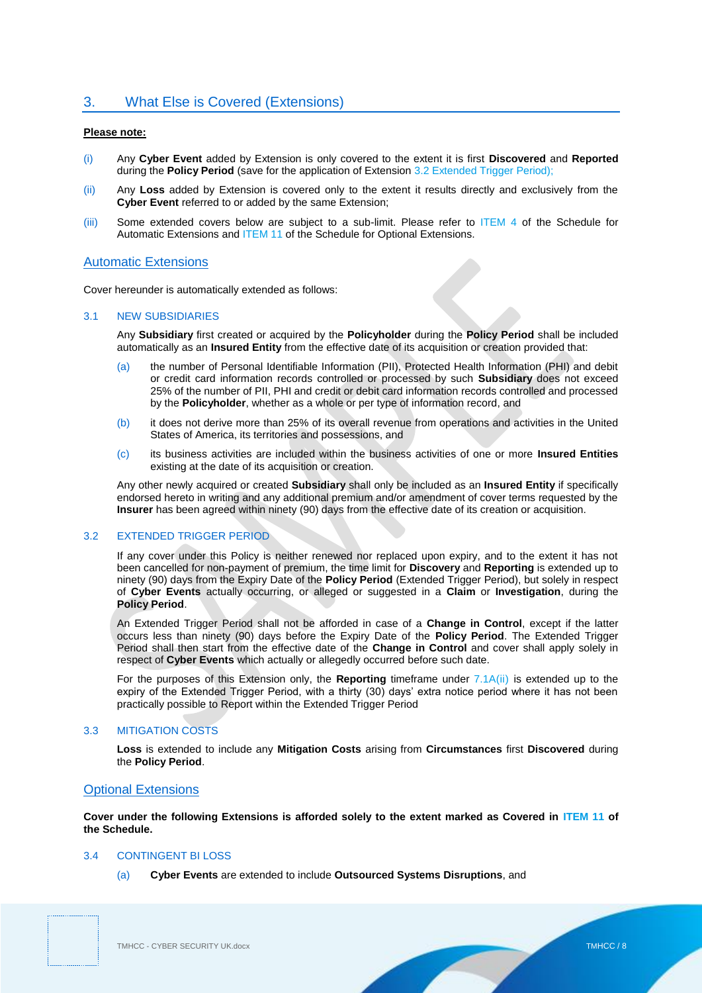# <span id="page-8-1"></span>3. What Else is Covered (Extensions)

### **Please note:**

- (i) Any **Cyber Event** added by Extension is only covered to the extent it is first **Discovered** and **Reported** during the **Policy Period** (save for the application of Extension [3.2](#page-8-2) Extended Trigger Period);
- (ii) Any **Loss** added by Extension is covered only to the extent it results directly and exclusively from the **Cyber Event** referred to or added by the same Extension;
- (iii) Some extended covers below are subject to a sub-limit. Please refer to [ITEM 4](#page-2-1) of the Schedule for Automatic Extensions and [ITEM 11](#page-3-0) of the Schedule for Optional Extensions.

### Automatic Extensions

Cover hereunder is automatically extended as follows:

### <span id="page-8-3"></span>3.1 NEW SUBSIDIARIES

Any **Subsidiary** first created or acquired by the **Policyholder** during the **Policy Period** shall be included automatically as an **Insured Entity** from the effective date of its acquisition or creation provided that:

- (a) the number of Personal Identifiable Information (PII), Protected Health Information (PHI) and debit or credit card information records controlled or processed by such **Subsidiary** does not exceed 25% of the number of PII, PHI and credit or debit card information records controlled and processed by the **Policyholder**, whether as a whole or per type of information record, and
- (b) it does not derive more than 25% of its overall revenue from operations and activities in the United States of America, its territories and possessions, and
- (c) its business activities are included within the business activities of one or more **Insured Entities** existing at the date of its acquisition or creation.

Any other newly acquired or created **Subsidiary** shall only be included as an **Insured Entity** if specifically endorsed hereto in writing and any additional premium and/or amendment of cover terms requested by the **Insurer** has been agreed within ninety (90) days from the effective date of its creation or acquisition.

### <span id="page-8-2"></span>3.2 EXTENDED TRIGGER PERIOD

If any cover under this Policy is neither renewed nor replaced upon expiry, and to the extent it has not been cancelled for non-payment of premium, the time limit for **Discovery** and **Reporting** is extended up to ninety (90) days from the Expiry Date of the **Policy Period** (Extended Trigger Period), but solely in respect of **Cyber Events** actually occurring, or alleged or suggested in a **Claim** or **Investigation**, during the **Policy Period**.

An Extended Trigger Period shall not be afforded in case of a **Change in Control**, except if the latter occurs less than ninety (90) days before the Expiry Date of the **Policy Period**. The Extended Trigger Period shall then start from the effective date of the **Change in Control** and cover shall apply solely in respect of **Cyber Events** which actually or allegedly occurred before such date.

For the purposes of this Extension only, the **Reporting** timeframe under [7.1A](#page-21-1)[\(ii\)](#page-22-0) is extended up to the expiry of the Extended Trigger Period, with a thirty (30) days' extra notice period where it has not been practically possible to Report within the Extended Trigger Period

### 3.3 MITIGATION COSTS

**Loss** is extended to include any **Mitigation Costs** arising from **Circumstances** first **Discovered** during the **Policy Period**.

### Optional Extensions

**Cover under the following Extensions is afforded solely to the extent marked as Covered in [ITEM 11](#page-3-0) of the Schedule.**

### <span id="page-8-0"></span>3.4 CONTINGENT BI LOSS

(a) **Cyber Events** are extended to include **Outsourced Systems Disruptions**, and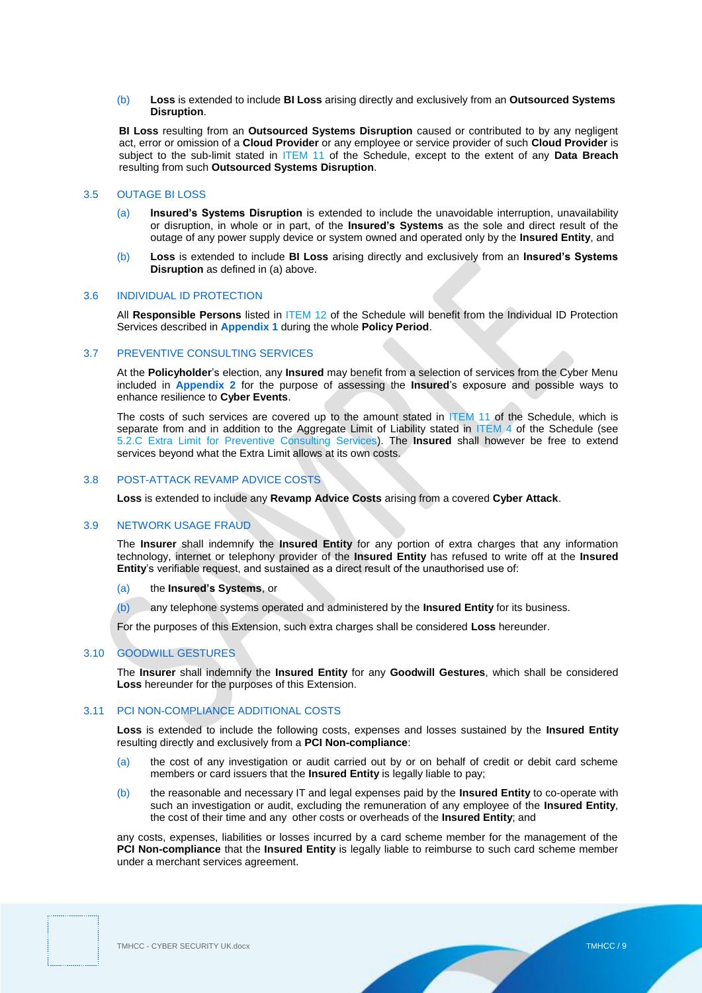(b) **Loss** is extended to include **BI Loss** arising directly and exclusively from an **Outsourced Systems Disruption**.

**BI Loss** resulting from an **Outsourced Systems Disruption** caused or contributed to by any negligent act, error or omission of a **Cloud Provider** or any employee or service provider of such **Cloud Provider** is subject to the sub-limit stated in ITEM 11 of the Schedule, except to the extent of any **Data Breach** resulting from such **Outsourced Systems Disruption**.

#### <span id="page-9-2"></span>3.5 OUTAGE BI LOSS

- (a) **Insured's Systems Disruption** is extended to include the unavoidable interruption, unavailability or disruption, in whole or in part, of the **Insured's Systems** as the sole and direct result of the outage of any power supply device or system owned and operated only by the **Insured Entity**, and
- (b) **Loss** is extended to include **BI Loss** arising directly and exclusively from an **Insured's Systems Disruption** as defined in (a) above.

#### <span id="page-9-0"></span>3.6 INDIVIDUAL ID PROTECTION

All **Responsible Persons** listed in [ITEM 12](#page-4-0) of the Schedule will benefit from the Individual ID Protection Services described in **Appendix 1** during the whole **Policy Period**.

#### <span id="page-9-1"></span>3.7 PREVENTIVE CONSULTING SERVICES

At the **Policyholder**'s election, any **Insured** may benefit from a selection of services from the Cyber Menu included in **Appendix 2** for the purpose of assessing the **Insured**'s exposure and possible ways to enhance resilience to **Cyber Events**.

The costs of such services are covered up to the amount stated in [ITEM 11](#page-3-0) of the Schedule, which is separate from and in addition to the Aggregate Limit of Liability stated in [ITEM 4](#page-2-1) of the Schedule (see [5.2](#page-18-0)[.C](#page-18-1) Extra Limit for Preventive Consulting Services). The **Insured** shall however be free to extend services beyond what the Extra Limit allows at its own costs.

#### 3.8 POST-ATTACK REVAMP ADVICE COSTS

**Loss** is extended to include any **Revamp Advice Costs** arising from a covered **Cyber Attack**.

#### 3.9 NETWORK USAGE FRAUD

The **Insurer** shall indemnify the **Insured Entity** for any portion of extra charges that any information technology, internet or telephony provider of the **Insured Entity** has refused to write off at the **Insured Entity**'s verifiable request, and sustained as a direct result of the unauthorised use of:

#### (a) the **Insured's Systems**, or

(b) any telephone systems operated and administered by the **Insured Entity** for its business.

For the purposes of this Extension, such extra charges shall be considered **Loss** hereunder.

#### 3.10 GOODWILL GESTURES

The **Insurer** shall indemnify the **Insured Entity** for any **Goodwill Gestures**, which shall be considered **Loss** hereunder for the purposes of this Extension.

#### 3.11 PCI NON-COMPLIANCE ADDITIONAL COSTS

**Loss** is extended to include the following costs, expenses and losses sustained by the **Insured Entity** resulting directly and exclusively from a **PCI Non-compliance**:

- (a) the cost of any investigation or audit carried out by or on behalf of credit or debit card scheme members or card issuers that the **Insured Entity** is legally liable to pay;
- (b) the reasonable and necessary IT and legal expenses paid by the **Insured Entity** to co-operate with such an investigation or audit, excluding the remuneration of any employee of the **Insured Entity**, the cost of their time and any other costs or overheads of the **Insured Entity**; and

any costs, expenses, liabilities or losses incurred by a card scheme member for the management of the **PCI Non-compliance** that the **Insured Entity** is legally liable to reimburse to such card scheme member under a merchant services agreement.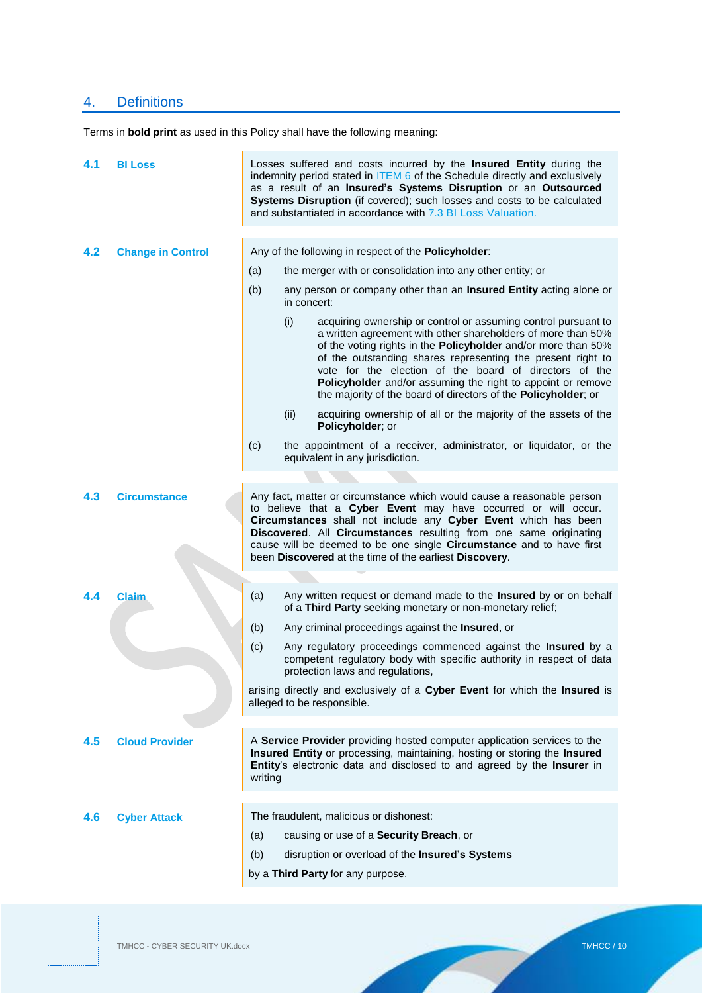# <span id="page-10-0"></span>4. Definitions

Terms in **bold print** as used in this Policy shall have the following meaning:

| 4.1 | <b>BI Loss</b>           |         | Losses suffered and costs incurred by the <b>Insured Entity</b> during the<br>indemnity period stated in ITEM 6 of the Schedule directly and exclusively<br>as a result of an Insured's Systems Disruption or an Outsourced<br>Systems Disruption (if covered); such losses and costs to be calculated<br>and substantiated in accordance with 7.3 BI Loss Valuation.                                                                                            |
|-----|--------------------------|---------|------------------------------------------------------------------------------------------------------------------------------------------------------------------------------------------------------------------------------------------------------------------------------------------------------------------------------------------------------------------------------------------------------------------------------------------------------------------|
|     |                          |         |                                                                                                                                                                                                                                                                                                                                                                                                                                                                  |
| 4.2 | <b>Change in Control</b> |         | Any of the following in respect of the Policyholder:                                                                                                                                                                                                                                                                                                                                                                                                             |
|     |                          | (a)     | the merger with or consolidation into any other entity; or                                                                                                                                                                                                                                                                                                                                                                                                       |
|     |                          | (b)     | any person or company other than an Insured Entity acting alone or<br>in concert:                                                                                                                                                                                                                                                                                                                                                                                |
|     |                          |         | (i)<br>acquiring ownership or control or assuming control pursuant to<br>a written agreement with other shareholders of more than 50%<br>of the voting rights in the Policyholder and/or more than 50%<br>of the outstanding shares representing the present right to<br>vote for the election of the board of directors of the<br>Policyholder and/or assuming the right to appoint or remove<br>the majority of the board of directors of the Policyholder; or |
|     |                          |         | (ii)<br>acquiring ownership of all or the majority of the assets of the<br>Policyholder; or                                                                                                                                                                                                                                                                                                                                                                      |
|     |                          | (c)     | the appointment of a receiver, administrator, or liquidator, or the<br>equivalent in any jurisdiction.                                                                                                                                                                                                                                                                                                                                                           |
|     |                          |         |                                                                                                                                                                                                                                                                                                                                                                                                                                                                  |
| 4.3 | <b>Circumstance</b>      |         | Any fact, matter or circumstance which would cause a reasonable person<br>to believe that a Cyber Event may have occurred or will occur.<br>Circumstances shall not include any Cyber Event which has been<br>Discovered. All Circumstances resulting from one same originating<br>cause will be deemed to be one single Circumstance and to have first<br>been Discovered at the time of the earliest Discovery.                                                |
|     |                          |         |                                                                                                                                                                                                                                                                                                                                                                                                                                                                  |
| 4.4 | <b>Claim</b>             | (a)     | Any written request or demand made to the Insured by or on behalf<br>of a Third Party seeking monetary or non-monetary relief;                                                                                                                                                                                                                                                                                                                                   |
|     |                          | (b)     | Any criminal proceedings against the <b>Insured</b> , or                                                                                                                                                                                                                                                                                                                                                                                                         |
|     |                          | (c)     | Any regulatory proceedings commenced against the <b>Insured</b> by a<br>competent regulatory body with specific authority in respect of data<br>protection laws and regulations,                                                                                                                                                                                                                                                                                 |
|     |                          |         | arising directly and exclusively of a Cyber Event for which the Insured is<br>alleged to be responsible.                                                                                                                                                                                                                                                                                                                                                         |
|     |                          |         |                                                                                                                                                                                                                                                                                                                                                                                                                                                                  |
| 4.5 | <b>Cloud Provider</b>    | writing | A Service Provider providing hosted computer application services to the<br>Insured Entity or processing, maintaining, hosting or storing the Insured<br>Entity's electronic data and disclosed to and agreed by the Insurer in                                                                                                                                                                                                                                  |
|     |                          |         |                                                                                                                                                                                                                                                                                                                                                                                                                                                                  |
| 4.6 | <b>Cyber Attack</b>      |         | The fraudulent, malicious or dishonest:                                                                                                                                                                                                                                                                                                                                                                                                                          |
|     |                          | (a)     | causing or use of a Security Breach, or                                                                                                                                                                                                                                                                                                                                                                                                                          |
|     |                          | (b)     | disruption or overload of the Insured's Systems                                                                                                                                                                                                                                                                                                                                                                                                                  |
|     |                          |         | by a Third Party for any purpose.                                                                                                                                                                                                                                                                                                                                                                                                                                |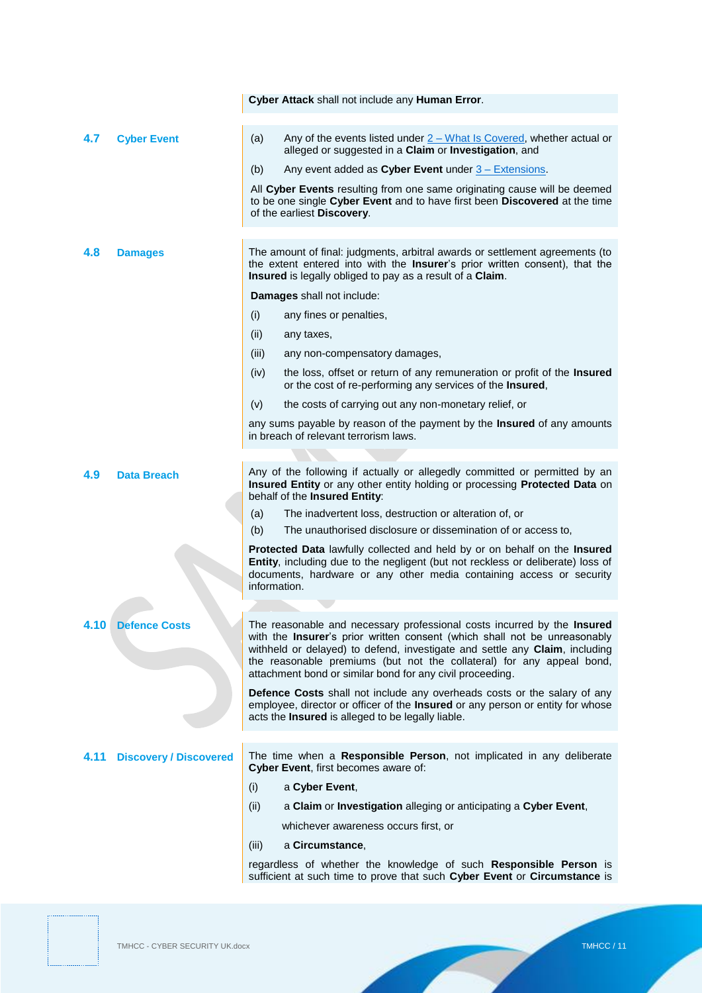|      |                               | Cyber Attack shall not include any Human Error.                                                                                                                                                                                                                                                                                                                           |
|------|-------------------------------|---------------------------------------------------------------------------------------------------------------------------------------------------------------------------------------------------------------------------------------------------------------------------------------------------------------------------------------------------------------------------|
|      |                               |                                                                                                                                                                                                                                                                                                                                                                           |
| 4.7  | <b>Cyber Event</b>            | Any of the events listed under $2$ – What Is Covered, whether actual or<br>(a)<br>alleged or suggested in a Claim or Investigation, and                                                                                                                                                                                                                                   |
|      |                               | Any event added as Cyber Event under 3 - Extensions.<br>(b)                                                                                                                                                                                                                                                                                                               |
|      |                               | All Cyber Events resulting from one same originating cause will be deemed<br>to be one single Cyber Event and to have first been Discovered at the time<br>of the earliest Discovery.                                                                                                                                                                                     |
| 4.8  | <b>Damages</b>                | The amount of final: judgments, arbitral awards or settlement agreements (to<br>the extent entered into with the Insurer's prior written consent), that the<br>Insured is legally obliged to pay as a result of a Claim.                                                                                                                                                  |
|      |                               | Damages shall not include:                                                                                                                                                                                                                                                                                                                                                |
|      |                               | (i)<br>any fines or penalties,                                                                                                                                                                                                                                                                                                                                            |
|      |                               | (ii)<br>any taxes,                                                                                                                                                                                                                                                                                                                                                        |
|      |                               | (iii)<br>any non-compensatory damages,                                                                                                                                                                                                                                                                                                                                    |
|      |                               | (iv)<br>the loss, offset or return of any remuneration or profit of the Insured<br>or the cost of re-performing any services of the Insured,                                                                                                                                                                                                                              |
|      |                               | (v)<br>the costs of carrying out any non-monetary relief, or                                                                                                                                                                                                                                                                                                              |
|      |                               | any sums payable by reason of the payment by the <b>Insured</b> of any amounts<br>in breach of relevant terrorism laws.                                                                                                                                                                                                                                                   |
|      |                               |                                                                                                                                                                                                                                                                                                                                                                           |
| 4.9  | <b>Data Breach</b>            | Any of the following if actually or allegedly committed or permitted by an<br>Insured Entity or any other entity holding or processing Protected Data on<br>behalf of the Insured Entity:                                                                                                                                                                                 |
|      |                               | The inadvertent loss, destruction or alteration of, or<br>(a)                                                                                                                                                                                                                                                                                                             |
|      |                               | (b)<br>The unauthorised disclosure or dissemination of or access to,                                                                                                                                                                                                                                                                                                      |
|      |                               | Protected Data lawfully collected and held by or on behalf on the Insured<br>Entity, including due to the negligent (but not reckless or deliberate) loss of<br>documents, hardware or any other media containing access or security<br>information.                                                                                                                      |
|      |                               |                                                                                                                                                                                                                                                                                                                                                                           |
| 4.1V | <b>Defence Costs</b>          | The reasonable and necessary professional costs incurred by the Insured<br>with the Insurer's prior written consent (which shall not be unreasonably<br>withheld or delayed) to defend, investigate and settle any Claim, including<br>the reasonable premiums (but not the collateral) for any appeal bond,<br>attachment bond or similar bond for any civil proceeding. |
|      |                               | Defence Costs shall not include any overheads costs or the salary of any<br>employee, director or officer of the Insured or any person or entity for whose<br>acts the Insured is alleged to be legally liable.                                                                                                                                                           |
| 4.11 | <b>Discovery / Discovered</b> | The time when a Responsible Person, not implicated in any deliberate<br>Cyber Event, first becomes aware of:                                                                                                                                                                                                                                                              |
|      |                               | a Cyber Event,<br>(i)                                                                                                                                                                                                                                                                                                                                                     |
|      |                               | a Claim or Investigation alleging or anticipating a Cyber Event,<br>(ii)                                                                                                                                                                                                                                                                                                  |
|      |                               | whichever awareness occurs first, or                                                                                                                                                                                                                                                                                                                                      |
|      |                               | (iii)<br>a Circumstance,                                                                                                                                                                                                                                                                                                                                                  |
|      |                               | regardless of whether the knowledge of such Responsible Person is<br>sufficient at such time to prove that such Cyber Event or Circumstance is                                                                                                                                                                                                                            |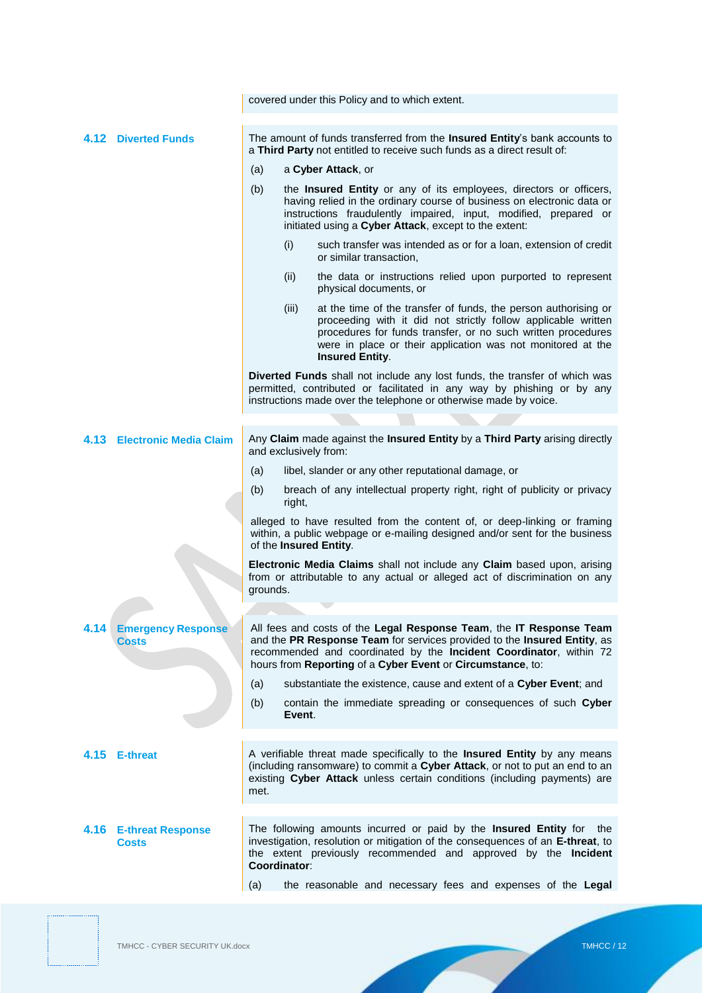|                     |                                         | covered under this Policy and to which extent.                                                                                                                                                                                                                                                     |
|---------------------|-----------------------------------------|----------------------------------------------------------------------------------------------------------------------------------------------------------------------------------------------------------------------------------------------------------------------------------------------------|
|                     |                                         |                                                                                                                                                                                                                                                                                                    |
| 4.12 Diverted Funds |                                         | The amount of funds transferred from the Insured Entity's bank accounts to<br>a Third Party not entitled to receive such funds as a direct result of:                                                                                                                                              |
|                     |                                         | a Cyber Attack, or<br>(a)                                                                                                                                                                                                                                                                          |
|                     |                                         | the Insured Entity or any of its employees, directors or officers,<br>(b)<br>having relied in the ordinary course of business on electronic data or<br>instructions fraudulently impaired, input, modified, prepared or<br>initiated using a Cyber Attack, except to the extent:                   |
|                     |                                         | (i)<br>such transfer was intended as or for a loan, extension of credit<br>or similar transaction,                                                                                                                                                                                                 |
|                     |                                         | (ii)<br>the data or instructions relied upon purported to represent<br>physical documents, or                                                                                                                                                                                                      |
|                     |                                         | (iii)<br>at the time of the transfer of funds, the person authorising or<br>proceeding with it did not strictly follow applicable written<br>procedures for funds transfer, or no such written procedures<br>were in place or their application was not monitored at the<br><b>Insured Entity.</b> |
|                     |                                         | Diverted Funds shall not include any lost funds, the transfer of which was<br>permitted, contributed or facilitated in any way by phishing or by any<br>instructions made over the telephone or otherwise made by voice.                                                                           |
|                     |                                         |                                                                                                                                                                                                                                                                                                    |
|                     | 4.13 Electronic Media Claim             | Any Claim made against the Insured Entity by a Third Party arising directly<br>and exclusively from:                                                                                                                                                                                               |
|                     |                                         | libel, slander or any other reputational damage, or<br>(a)                                                                                                                                                                                                                                         |
|                     |                                         | (b)<br>breach of any intellectual property right, right of publicity or privacy<br>right,                                                                                                                                                                                                          |
|                     |                                         | alleged to have resulted from the content of, or deep-linking or framing<br>within, a public webpage or e-mailing designed and/or sent for the business<br>of the Insured Entity.                                                                                                                  |
|                     |                                         | Electronic Media Claims shall not include any Claim based upon, arising<br>from or attributable to any actual or alleged act of discrimination on any<br>grounds.                                                                                                                                  |
|                     |                                         |                                                                                                                                                                                                                                                                                                    |
|                     | <b>4.14 Emergency Response</b><br>Costs | All fees and costs of the Legal Response Team, the IT Response Team<br>and the PR Response Team for services provided to the Insured Entity, as<br>recommended and coordinated by the Incident Coordinator, within 72<br>hours from Reporting of a Cyber Event or Circumstance, to:                |
|                     |                                         | (a)<br>substantiate the existence, cause and extent of a Cyber Event; and                                                                                                                                                                                                                          |
|                     |                                         | contain the immediate spreading or consequences of such Cyber<br>(b)<br>Event.                                                                                                                                                                                                                     |
|                     |                                         |                                                                                                                                                                                                                                                                                                    |
|                     | 4.15 E-threat                           | A verifiable threat made specifically to the Insured Entity by any means<br>(including ransomware) to commit a Cyber Attack, or not to put an end to an<br>existing Cyber Attack unless certain conditions (including payments) are<br>met.                                                        |
|                     |                                         |                                                                                                                                                                                                                                                                                                    |
|                     | 4.16 E-threat Response<br>Costs         | The following amounts incurred or paid by the Insured Entity for the<br>investigation, resolution or mitigation of the consequences of an E-threat, to<br>the extent previously recommended and approved by the <b>Incident</b><br>Coordinator:                                                    |
|                     |                                         | the reasonable and necessary fees and expenses of the Legal<br>(a)                                                                                                                                                                                                                                 |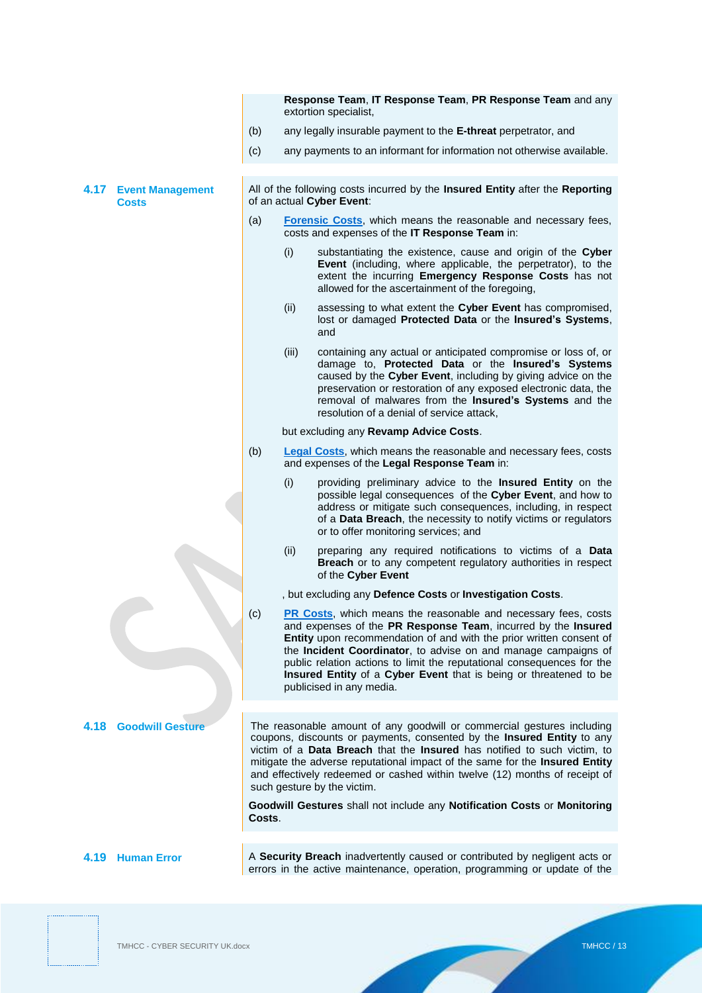|                                          |        | Response Team, IT Response Team, PR Response Team and any<br>extortion specialist,                                                                                                                                                                                                                                                                                                                                                                  |
|------------------------------------------|--------|-----------------------------------------------------------------------------------------------------------------------------------------------------------------------------------------------------------------------------------------------------------------------------------------------------------------------------------------------------------------------------------------------------------------------------------------------------|
|                                          | (b)    | any legally insurable payment to the E-threat perpetrator, and                                                                                                                                                                                                                                                                                                                                                                                      |
|                                          | (c)    | any payments to an informant for information not otherwise available.                                                                                                                                                                                                                                                                                                                                                                               |
|                                          |        |                                                                                                                                                                                                                                                                                                                                                                                                                                                     |
| 4.17<br><b>Event Management</b><br>Costs |        | All of the following costs incurred by the Insured Entity after the Reporting<br>of an actual Cyber Event:                                                                                                                                                                                                                                                                                                                                          |
|                                          | (a)    | Forensic Costs, which means the reasonable and necessary fees,<br>costs and expenses of the IT Response Team in:                                                                                                                                                                                                                                                                                                                                    |
|                                          |        | (i)<br>substantiating the existence, cause and origin of the Cyber<br>Event (including, where applicable, the perpetrator), to the<br>extent the incurring Emergency Response Costs has not<br>allowed for the ascertainment of the foregoing,                                                                                                                                                                                                      |
|                                          |        | (ii)<br>assessing to what extent the Cyber Event has compromised,<br>lost or damaged Protected Data or the Insured's Systems,<br>and                                                                                                                                                                                                                                                                                                                |
|                                          |        | (iii)<br>containing any actual or anticipated compromise or loss of, or<br>damage to, Protected Data or the Insured's Systems<br>caused by the Cyber Event, including by giving advice on the<br>preservation or restoration of any exposed electronic data, the<br>removal of malwares from the Insured's Systems and the<br>resolution of a denial of service attack,                                                                             |
|                                          |        | but excluding any Revamp Advice Costs.                                                                                                                                                                                                                                                                                                                                                                                                              |
|                                          | (b)    | <b>Legal Costs</b> , which means the reasonable and necessary fees, costs<br>and expenses of the Legal Response Team in:                                                                                                                                                                                                                                                                                                                            |
|                                          |        | (i)<br>providing preliminary advice to the Insured Entity on the<br>possible legal consequences of the Cyber Event, and how to<br>address or mitigate such consequences, including, in respect<br>of a Data Breach, the necessity to notify victims or regulators<br>or to offer monitoring services; and                                                                                                                                           |
|                                          |        | (ii)<br>preparing any required notifications to victims of a Data<br>Breach or to any competent regulatory authorities in respect<br>of the Cyber Event                                                                                                                                                                                                                                                                                             |
|                                          |        | , but excluding any Defence Costs or Investigation Costs.                                                                                                                                                                                                                                                                                                                                                                                           |
|                                          | (c)    | PR Costs, which means the reasonable and necessary fees, costs<br>and expenses of the PR Response Team, incurred by the Insured<br>Entity upon recommendation of and with the prior written consent of<br>the Incident Coordinator, to advise on and manage campaigns of<br>public relation actions to limit the reputational consequences for the<br>Insured Entity of a Cyber Event that is being or threatened to be<br>publicised in any media. |
| <b>4.18 Goodwill Gesture</b>             |        | The reasonable amount of any goodwill or commercial gestures including<br>coupons, discounts or payments, consented by the Insured Entity to any<br>victim of a Data Breach that the Insured has notified to such victim, to<br>mitigate the adverse reputational impact of the same for the Insured Entity<br>and effectively redeemed or cashed within twelve (12) months of receipt of<br>such gesture by the victim.                            |
|                                          | Costs. | Goodwill Gestures shall not include any Notification Costs or Monitoring                                                                                                                                                                                                                                                                                                                                                                            |
| 4.19 Human Error                         |        | A Security Breach inadvertently caused or contributed by negligent acts or<br>errors in the active maintenance, operation, programming or update of the                                                                                                                                                                                                                                                                                             |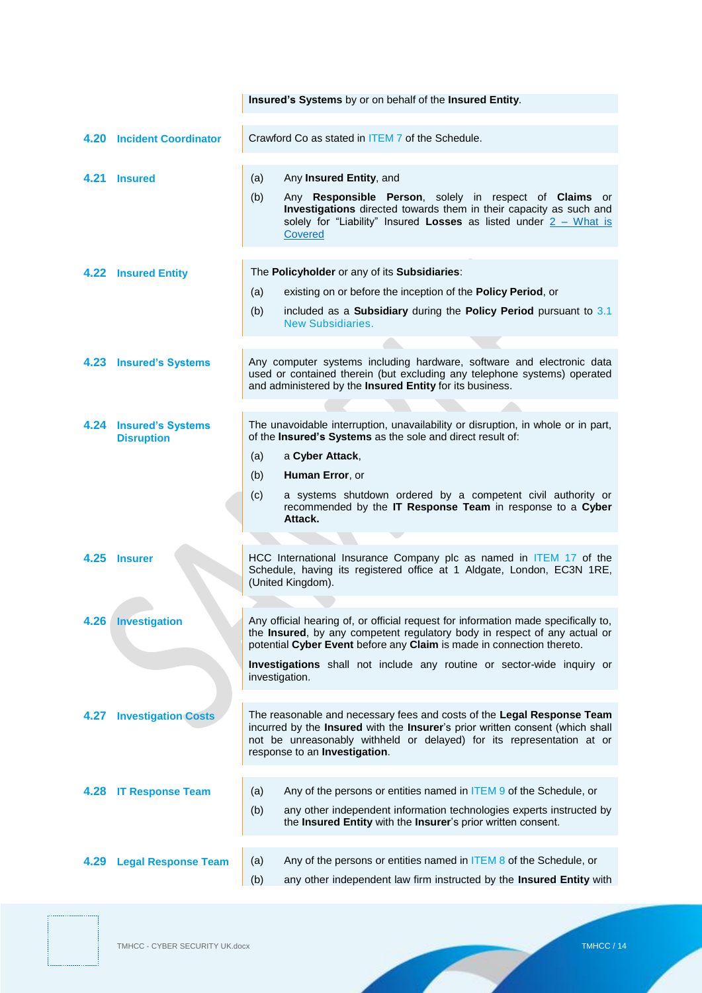<span id="page-14-0"></span>

|      |                                             | Insured's Systems by or on behalf of the Insured Entity.                                                                                                                                                                                                          |
|------|---------------------------------------------|-------------------------------------------------------------------------------------------------------------------------------------------------------------------------------------------------------------------------------------------------------------------|
|      | 4.20 Incident Coordinator                   | Crawford Co as stated in ITEM 7 of the Schedule.                                                                                                                                                                                                                  |
| 4.21 | <b>Insured</b>                              | Any Insured Entity, and<br>(a)<br>Any Responsible Person, solely in respect of Claims or<br>(b)<br>Investigations directed towards them in their capacity as such and<br>solely for "Liability" Insured Losses as listed under $2 - What$ is<br>Covered           |
|      | 4.22 Insured Entity                         | The Policyholder or any of its Subsidiaries:<br>existing on or before the inception of the Policy Period, or<br>(a)<br>included as a Subsidiary during the Policy Period pursuant to 3.1<br>(b)<br><b>New Subsidiaries.</b>                                       |
|      |                                             |                                                                                                                                                                                                                                                                   |
|      | 4.23 Insured's Systems                      | Any computer systems including hardware, software and electronic data<br>used or contained therein (but excluding any telephone systems) operated<br>and administered by the Insured Entity for its business.                                                     |
|      |                                             |                                                                                                                                                                                                                                                                   |
|      | 4.24 Insured's Systems<br><b>Disruption</b> | The unavoidable interruption, unavailability or disruption, in whole or in part,<br>of the Insured's Systems as the sole and direct result of:                                                                                                                    |
|      |                                             | (a)<br>a Cyber Attack,                                                                                                                                                                                                                                            |
|      |                                             | (b)<br>Human Error, or                                                                                                                                                                                                                                            |
|      |                                             | (c)<br>a systems shutdown ordered by a competent civil authority or<br>recommended by the IT Response Team in response to a Cyber<br>Attack.                                                                                                                      |
|      |                                             |                                                                                                                                                                                                                                                                   |
| 4.25 | <b>Insurer</b>                              | HCC International Insurance Company plc as named in ITEM 17 of the<br>Schedule, having its registered office at 1 Aldgate, London, EC3N 1RE,<br>(United Kingdom).                                                                                                 |
|      |                                             |                                                                                                                                                                                                                                                                   |
|      | 4.26 Investigation                          | Any official hearing of, or official request for information made specifically to,<br>the Insured, by any competent regulatory body in respect of any actual or<br>potential Cyber Event before any Claim is made in connection thereto.                          |
|      |                                             | Investigations shall not include any routine or sector-wide inquiry or<br>investigation.                                                                                                                                                                          |
| 4.27 | <b>Investigation Costs</b>                  | The reasonable and necessary fees and costs of the Legal Response Team<br>incurred by the Insured with the Insurer's prior written consent (which shall<br>not be unreasonably withheld or delayed) for its representation at or<br>response to an Investigation. |
|      | 4.28 IT Response Team                       | Any of the persons or entities named in ITEM 9 of the Schedule, or<br>(a)                                                                                                                                                                                         |
|      |                                             | any other independent information technologies experts instructed by<br>(b)<br>the Insured Entity with the Insurer's prior written consent.                                                                                                                       |
|      |                                             |                                                                                                                                                                                                                                                                   |
| 4.29 | <b>Legal Response Team</b>                  | Any of the persons or entities named in ITEM 8 of the Schedule, or<br>(a)                                                                                                                                                                                         |
|      |                                             | any other independent law firm instructed by the Insured Entity with<br>(b)                                                                                                                                                                                       |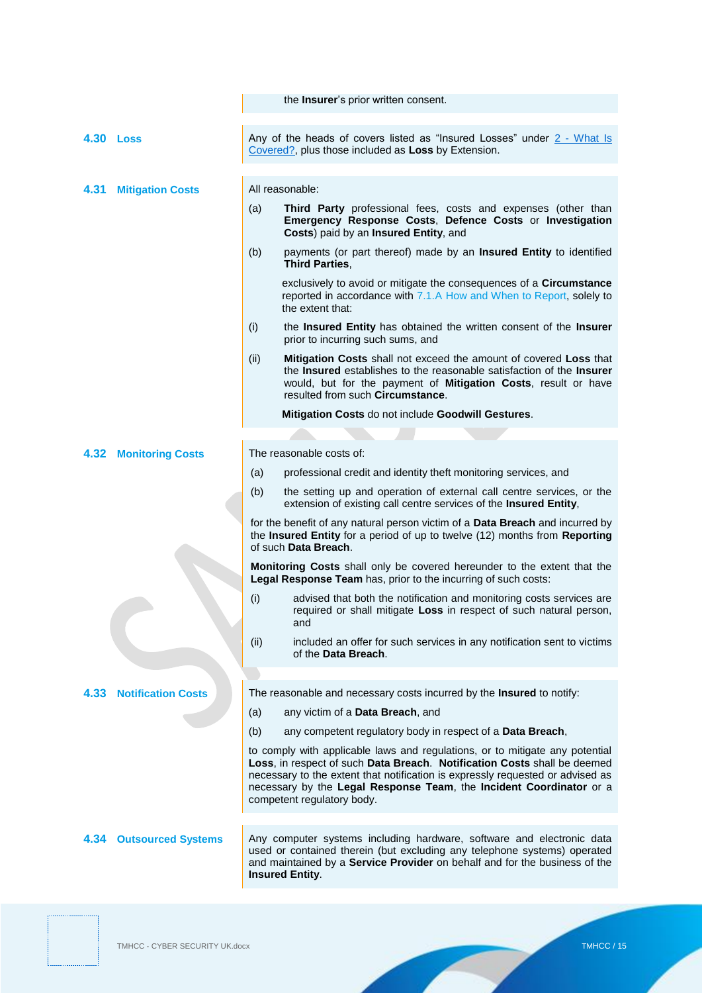|           |                              | the Insurer's prior written consent.                                                                                                                                                                                                                                                                                                            |
|-----------|------------------------------|-------------------------------------------------------------------------------------------------------------------------------------------------------------------------------------------------------------------------------------------------------------------------------------------------------------------------------------------------|
| 4.30 Loss |                              | Any of the heads of covers listed as "Insured Losses" under $2 - What$ Is<br>Covered?, plus those included as Loss by Extension.                                                                                                                                                                                                                |
| 4.31      | <b>Mitigation Costs</b>      | All reasonable:                                                                                                                                                                                                                                                                                                                                 |
|           |                              | Third Party professional fees, costs and expenses (other than<br>(a)<br>Emergency Response Costs, Defence Costs or Investigation<br>Costs) paid by an Insured Entity, and                                                                                                                                                                       |
|           |                              | payments (or part thereof) made by an Insured Entity to identified<br>(b)<br>Third Parties,                                                                                                                                                                                                                                                     |
|           |                              | exclusively to avoid or mitigate the consequences of a Circumstance<br>reported in accordance with 7.1.A How and When to Report, solely to<br>the extent that:                                                                                                                                                                                  |
|           |                              | the Insured Entity has obtained the written consent of the Insurer<br>(i)<br>prior to incurring such sums, and                                                                                                                                                                                                                                  |
|           |                              | Mitigation Costs shall not exceed the amount of covered Loss that<br>(ii)<br>the Insured establishes to the reasonable satisfaction of the Insurer<br>would, but for the payment of Mitigation Costs, result or have<br>resulted from such Circumstance.                                                                                        |
|           |                              | Mitigation Costs do not include Goodwill Gestures.                                                                                                                                                                                                                                                                                              |
|           |                              |                                                                                                                                                                                                                                                                                                                                                 |
|           | <b>4.32 Monitoring Costs</b> | The reasonable costs of:                                                                                                                                                                                                                                                                                                                        |
|           |                              | (a)<br>professional credit and identity theft monitoring services, and                                                                                                                                                                                                                                                                          |
|           |                              | the setting up and operation of external call centre services, or the<br>(b)<br>extension of existing call centre services of the Insured Entity,                                                                                                                                                                                               |
|           |                              | for the benefit of any natural person victim of a <b>Data Breach</b> and incurred by<br>the Insured Entity for a period of up to twelve (12) months from Reporting<br>of such Data Breach.                                                                                                                                                      |
|           |                              | Monitoring Costs shall only be covered hereunder to the extent that the<br>Legal Response Team has, prior to the incurring of such costs:                                                                                                                                                                                                       |
|           |                              | advised that both the notification and monitoring costs services are<br>(i)<br>required or shall mitigate Loss in respect of such natural person,<br>and                                                                                                                                                                                        |
|           |                              | (ii)<br>included an offer for such services in any notification sent to victims<br>of the <b>Data Breach.</b>                                                                                                                                                                                                                                   |
|           |                              |                                                                                                                                                                                                                                                                                                                                                 |
| 4.33      | <b>Notification Costs</b>    | The reasonable and necessary costs incurred by the Insured to notify:                                                                                                                                                                                                                                                                           |
|           |                              | (a)<br>any victim of a Data Breach, and                                                                                                                                                                                                                                                                                                         |
|           |                              | (b)<br>any competent regulatory body in respect of a Data Breach,                                                                                                                                                                                                                                                                               |
|           |                              | to comply with applicable laws and regulations, or to mitigate any potential<br>Loss, in respect of such Data Breach. Notification Costs shall be deemed<br>necessary to the extent that notification is expressly requested or advised as<br>necessary by the Legal Response Team, the Incident Coordinator or a<br>competent regulatory body. |
|           |                              |                                                                                                                                                                                                                                                                                                                                                 |
| 4.34      | <b>Outsourced Systems</b>    | Any computer systems including hardware, software and electronic data<br>used or contained therein (but excluding any telephone systems) operated<br>and maintained by a Service Provider on behalf and for the business of the<br><b>Insured Entity.</b>                                                                                       |
|           |                              |                                                                                                                                                                                                                                                                                                                                                 |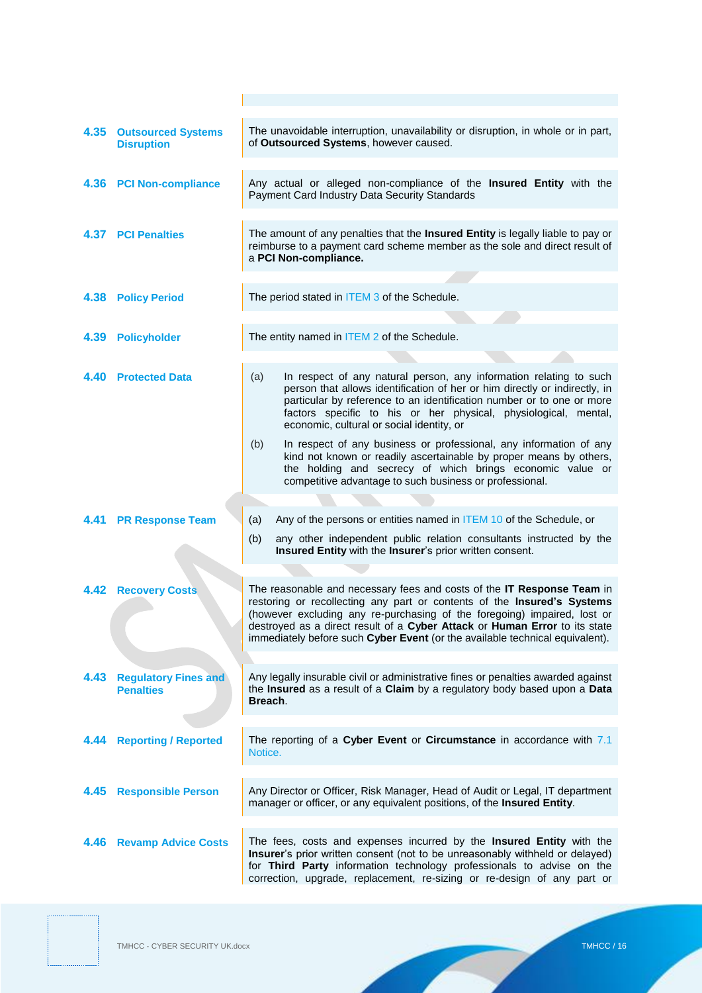| 4.35 | <b>Outsourced Systems</b><br><b>Disruption</b>  | The unavoidable interruption, unavailability or disruption, in whole or in part,<br>of Outsourced Systems, however caused.                                                                                                                                                                                                                                                                  |
|------|-------------------------------------------------|---------------------------------------------------------------------------------------------------------------------------------------------------------------------------------------------------------------------------------------------------------------------------------------------------------------------------------------------------------------------------------------------|
|      | 4.36 PCI Non-compliance                         | Any actual or alleged non-compliance of the Insured Entity with the<br>Payment Card Industry Data Security Standards                                                                                                                                                                                                                                                                        |
|      | <b>4.37 PCI Penalties</b>                       | The amount of any penalties that the Insured Entity is legally liable to pay or<br>reimburse to a payment card scheme member as the sole and direct result of<br>a PCI Non-compliance.                                                                                                                                                                                                      |
|      | 4.38 Policy Period                              | The period stated in ITEM 3 of the Schedule.                                                                                                                                                                                                                                                                                                                                                |
| 4.39 | <b>Policyholder</b>                             | The entity named in ITEM 2 of the Schedule.                                                                                                                                                                                                                                                                                                                                                 |
| 4.40 | <b>Protected Data</b>                           | In respect of any natural person, any information relating to such<br>(a)<br>person that allows identification of her or him directly or indirectly, in<br>particular by reference to an identification number or to one or more<br>factors specific to his or her physical, physiological, mental,<br>economic, cultural or social identity, or                                            |
|      |                                                 | In respect of any business or professional, any information of any<br>(b)<br>kind not known or readily ascertainable by proper means by others,<br>the holding and secrecy of which brings economic value or<br>competitive advantage to such business or professional.                                                                                                                     |
|      |                                                 |                                                                                                                                                                                                                                                                                                                                                                                             |
| 4.41 | <b>PR Response Team</b>                         | Any of the persons or entities named in ITEM 10 of the Schedule, or<br>(a)                                                                                                                                                                                                                                                                                                                  |
|      |                                                 | any other independent public relation consultants instructed by the<br>(b)<br>Insured Entity with the Insurer's prior written consent.                                                                                                                                                                                                                                                      |
|      |                                                 |                                                                                                                                                                                                                                                                                                                                                                                             |
|      | <b>4.42 Recovery Costs</b>                      | The reasonable and necessary fees and costs of the IT Response Team in<br>restoring or recollecting any part or contents of the Insured's Systems<br>(however excluding any re-purchasing of the foregoing) impaired, lost or<br>destroyed as a direct result of a Cyber Attack or Human Error to its state<br>immediately before such Cyber Event (or the available technical equivalent). |
| 4.43 | <b>Regulatory Fines and</b><br><b>Penalties</b> | Any legally insurable civil or administrative fines or penalties awarded against<br>the Insured as a result of a Claim by a regulatory body based upon a Data<br>Breach.                                                                                                                                                                                                                    |
| 4.44 | <b>Reporting / Reported</b>                     | The reporting of a Cyber Event or Circumstance in accordance with 7.1<br>Notice.                                                                                                                                                                                                                                                                                                            |
| 4.45 | <b>Responsible Person</b>                       | Any Director or Officer, Risk Manager, Head of Audit or Legal, IT department<br>manager or officer, or any equivalent positions, of the Insured Entity.                                                                                                                                                                                                                                     |
| 4.46 | <b>Revamp Advice Costs</b>                      | The fees, costs and expenses incurred by the Insured Entity with the<br>Insurer's prior written consent (not to be unreasonably withheld or delayed)<br>for Third Party information technology professionals to advise on the<br>correction, upgrade, replacement, re-sizing or re-design of any part or                                                                                    |

 $\mathbb{R}^n$ 

◢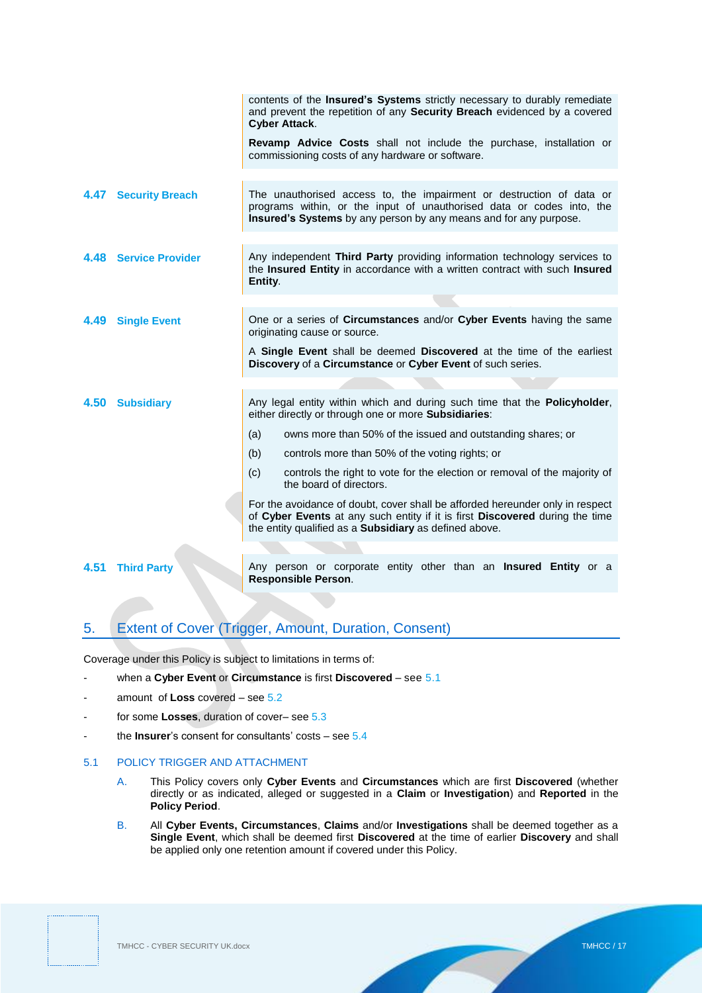|      |                        | contents of the <b>Insured's Systems</b> strictly necessary to durably remediate<br>and prevent the repetition of any Security Breach evidenced by a covered<br><b>Cyber Attack.</b>                                    |
|------|------------------------|-------------------------------------------------------------------------------------------------------------------------------------------------------------------------------------------------------------------------|
|      |                        | Revamp Advice Costs shall not include the purchase, installation or<br>commissioning costs of any hardware or software.                                                                                                 |
|      |                        |                                                                                                                                                                                                                         |
| 4.47 | <b>Security Breach</b> | The unauthorised access to, the impairment or destruction of data or<br>programs within, or the input of unauthorised data or codes into, the<br>Insured's Systems by any person by any means and for any purpose.      |
|      |                        |                                                                                                                                                                                                                         |
|      | 4.48 Service Provider  | Any independent Third Party providing information technology services to<br>the Insured Entity in accordance with a written contract with such Insured<br>Entity.                                                       |
|      |                        |                                                                                                                                                                                                                         |
| 4.49 | <b>Single Event</b>    | One or a series of Circumstances and/or Cyber Events having the same<br>originating cause or source.                                                                                                                    |
|      |                        | A Single Event shall be deemed Discovered at the time of the earliest<br>Discovery of a Circumstance or Cyber Event of such series.                                                                                     |
|      |                        |                                                                                                                                                                                                                         |
| 4.50 | <b>Subsidiary</b>      | Any legal entity within which and during such time that the Policyholder,<br>either directly or through one or more Subsidiaries:                                                                                       |
|      |                        | (a)<br>owns more than 50% of the issued and outstanding shares; or                                                                                                                                                      |
|      |                        | (b)<br>controls more than 50% of the voting rights; or                                                                                                                                                                  |
|      |                        | controls the right to vote for the election or removal of the majority of<br>(c)                                                                                                                                        |
|      |                        | the board of directors.                                                                                                                                                                                                 |
|      |                        | For the avoidance of doubt, cover shall be afforded hereunder only in respect<br>of Cyber Events at any such entity if it is first Discovered during the time<br>the entity qualified as a Subsidiary as defined above. |
|      |                        |                                                                                                                                                                                                                         |
| 4.51 | <b>Third Party</b>     | Any person or corporate entity other than an <b>Insured Entity</b> or a<br><b>Responsible Person.</b>                                                                                                                   |

# <span id="page-17-0"></span>5. Extent of Cover (Trigger, Amount, Duration, Consent)

Coverage under this Policy is subject to limitations in terms of:

- when a **Cyber Event** or **Circumstance** is first **Discovered** see [5.1](#page-17-1)
- amount of **Loss** covered see [5.2](#page-18-0)
- for some **Losses**, duration of cover– see [5.3](#page-18-2)
- the **Insurer**'s consent for consultants' costs see [5.4](#page-18-3)

### <span id="page-17-1"></span>5.1 POLICY TRIGGER AND ATTACHMENT

- A. This Policy covers only **Cyber Events** and **Circumstances** which are first **Discovered** (whether directly or as indicated, alleged or suggested in a **Claim** or **Investigation**) and **Reported** in the **Policy Period**.
- B. All **Cyber Events, Circumstances**, **Claims** and/or **Investigations** shall be deemed together as a **Single Event**, which shall be deemed first **Discovered** at the time of earlier **Discovery** and shall be applied only one retention amount if covered under this Policy.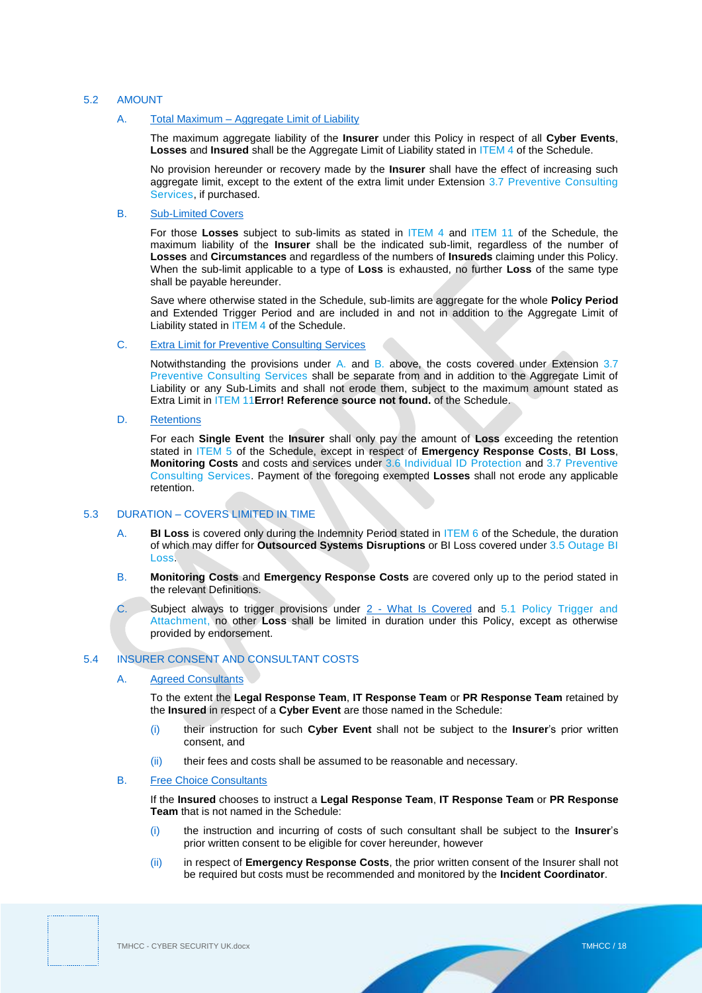### <span id="page-18-0"></span>5.2 AMOUNT

#### A. Total Maximum – Aggregate Limit of Liability

The maximum aggregate liability of the **Insurer** under this Policy in respect of all **Cyber Events**, **Losses** and **Insured** shall be the Aggregate Limit of Liability stated i[n ITEM 4](#page-2-1) of the Schedule.

No provision hereunder or recovery made by the **Insurer** shall have the effect of increasing such aggregate limit, except to the extent of the extra limit under Extension [3.7](#page-9-1) Preventive Consulting Services, if purchased.

### B. Sub-Limited Covers

For those **Losses** subject to sub-limits as stated in [ITEM 4](#page-2-1) and [ITEM 11](#page-3-0) of the Schedule, the maximum liability of the **Insurer** shall be the indicated sub-limit, regardless of the number of **Losses** and **Circumstances** and regardless of the numbers of **Insureds** claiming under this Policy. When the sub-limit applicable to a type of **Loss** is exhausted, no further **Loss** of the same type shall be payable hereunder.

Save where otherwise stated in the Schedule, sub-limits are aggregate for the whole **Policy Period** and Extended Trigger Period and are included in and not in addition to the Aggregate Limit of Liability stated i[n ITEM 4](#page-2-1) of the Schedule.

### <span id="page-18-1"></span>C. Extra Limit for Preventive Consulting Services

Notwithstanding the provisions under A. and B. above, the costs covered under Extension [3.7](#page-9-1) Preventive Consulting Services shall be separate from and in addition to the Aggregate Limit of Liability or any Sub-Limits and shall not erode them, subject to the maximum amount stated as Extra Limit in [ITEM 11](#page-3-0)**[Error! Reference source not found.](#page-3-0)** of the Schedule.

D. Retentions

For each **Single Event** the **Insurer** shall only pay the amount of **Loss** exceeding the retention stated in [ITEM 5](#page-2-4) of the Schedule, except in respect of **Emergency Response Costs**, **BI Loss**, **Monitoring Costs** and costs and services under [3.6](#page-9-0) Individual ID Protection and [3.7](#page-9-1) Preventive Consulting Services. Payment of the foregoing exempted **Losses** shall not erode any applicable retention.

### <span id="page-18-2"></span>5.3 DURATION – COVERS LIMITED IN TIME

- A. **BI Loss** is covered only during the Indemnity Period stated in [ITEM 6](#page-3-2) of the Schedule, the duration of which may differ for **Outsourced Systems Disruptions** or BI Loss covered under [3.5](#page-9-2) Outage BI Loss.
- B. **Monitoring Costs** and **Emergency Response Costs** are covered only up to the period stated in the relevant Definitions.
- C. Subject always to trigger provisions under [2](#page-7-1) What Is Covered and [5.1](#page-17-1) Policy Trigger and Attachment, no other **Loss** shall be limited in duration under this Policy, except as otherwise provided by endorsement.

### <span id="page-18-3"></span>5.4 INSURER CONSENT AND CONSULTANT COSTS

#### A. Agreed Consultants

To the extent the **Legal Response Team**, **IT Response Team** or **PR Response Team** retained by the **Insured** in respect of a **Cyber Event** are those named in the Schedule:

- (i) their instruction for such **Cyber Event** shall not be subject to the **Insurer**'s prior written consent, and
- (ii) their fees and costs shall be assumed to be reasonable and necessary.

#### B. Free Choice Consultants

If the **Insured** chooses to instruct a **Legal Response Team**, **IT Response Team** or **PR Response Team** that is not named in the Schedule:

- (i) the instruction and incurring of costs of such consultant shall be subject to the **Insurer**'s prior written consent to be eligible for cover hereunder, however
- (ii) in respect of **Emergency Response Costs**, the prior written consent of the Insurer shall not be required but costs must be recommended and monitored by the **Incident Coordinator**.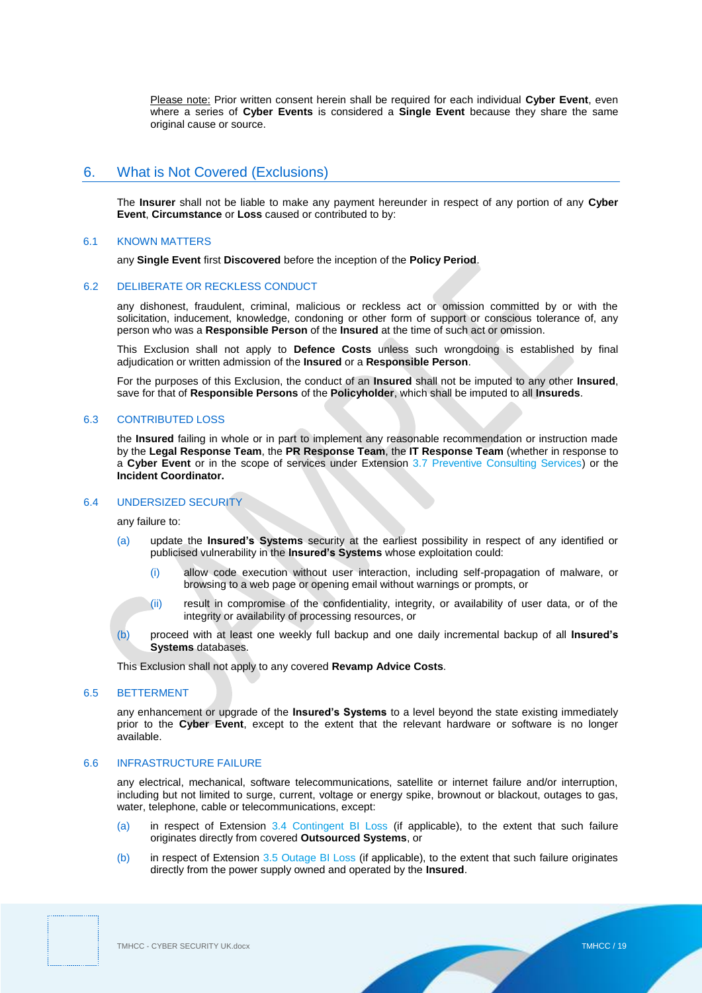Please note: Prior written consent herein shall be required for each individual **Cyber Event**, even where a series of **Cyber Events** is considered a **Single Event** because they share the same original cause or source.

### <span id="page-19-0"></span>6. What is Not Covered (Exclusions)

The **Insurer** shall not be liable to make any payment hereunder in respect of any portion of any **Cyber Event**, **Circumstance** or **Loss** caused or contributed to by:

#### 6.1 KNOWN MATTERS

any **Single Event** first **Discovered** before the inception of the **Policy Period**.

#### 6.2 DELIBERATE OR RECKLESS CONDUCT

any dishonest, fraudulent, criminal, malicious or reckless act or omission committed by or with the solicitation, inducement, knowledge, condoning or other form of support or conscious tolerance of, any person who was a **Responsible Person** of the **Insured** at the time of such act or omission.

This Exclusion shall not apply to **Defence Costs** unless such wrongdoing is established by final adjudication or written admission of the **Insured** or a **Responsible Person**.

For the purposes of this Exclusion, the conduct of an **Insured** shall not be imputed to any other **Insured**, save for that of **Responsible Persons** of the **Policyholder**, which shall be imputed to all **Insureds**.

### 6.3 CONTRIBUTED LOSS

the **Insured** failing in whole or in part to implement any reasonable recommendation or instruction made by the **Legal Response Team**, the **PR Response Team**, the **IT Response Team** (whether in response to a **Cyber Event** or in the scope of services under Extension [3.7](#page-9-1) Preventive Consulting Services) or the **Incident Coordinator.**

### 6.4 UNDERSIZED SECURITY

any failure to:

- (a) update the **Insured's Systems** security at the earliest possibility in respect of any identified or publicised vulnerability in the **Insured's Systems** whose exploitation could:
	- (i) allow code execution without user interaction, including self-propagation of malware, or browsing to a web page or opening email without warnings or prompts, or
	- (ii) result in compromise of the confidentiality, integrity, or availability of user data, or of the integrity or availability of processing resources, or
- (b) proceed with at least one weekly full backup and one daily incremental backup of all **Insured's Systems** databases.

This Exclusion shall not apply to any covered **Revamp Advice Costs**.

### 6.5 BETTERMENT

any enhancement or upgrade of the **Insured's Systems** to a level beyond the state existing immediately prior to the **Cyber Event**, except to the extent that the relevant hardware or software is no longer available.

### 6.6 INFRASTRUCTURE FAILURE

any electrical, mechanical, software telecommunications, satellite or internet failure and/or interruption, including but not limited to surge, current, voltage or energy spike, brownout or blackout, outages to gas, water, telephone, cable or telecommunications, except:

- (a) in respect of Extension [3.4](#page-8-0) Contingent BI Loss (if applicable), to the extent that such failure originates directly from covered **Outsourced Systems**, or
- (b) in respect of Extension [3.5](#page-9-2) Outage BI Loss (if applicable), to the extent that such failure originates directly from the power supply owned and operated by the **Insured**.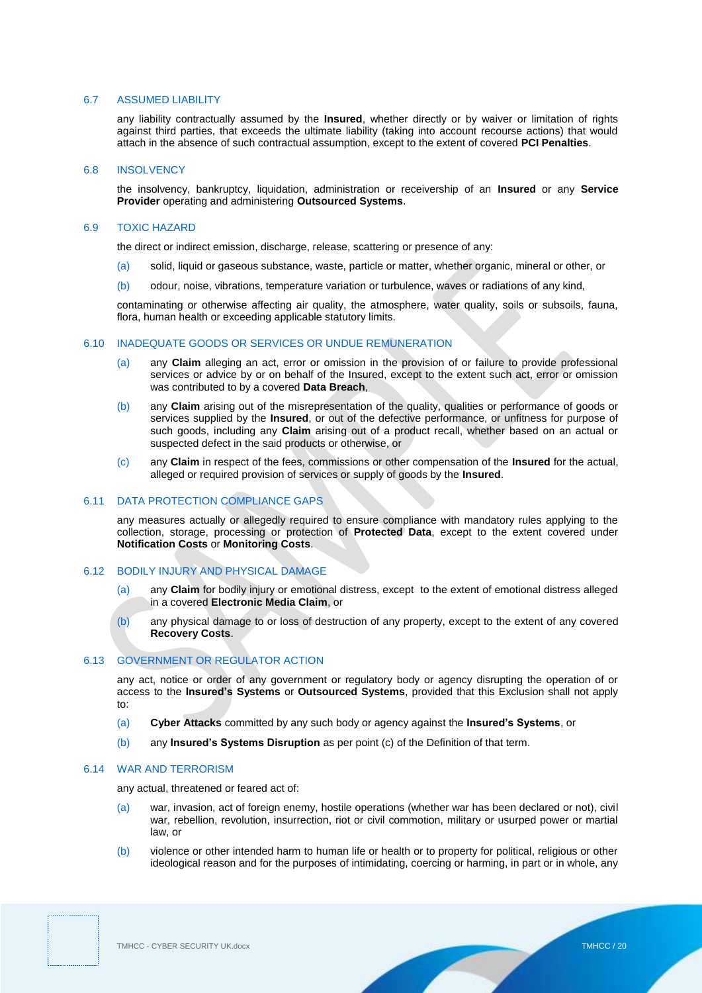#### 6.7 ASSUMED LIABILITY

any liability contractually assumed by the **Insured**, whether directly or by waiver or limitation of rights against third parties, that exceeds the ultimate liability (taking into account recourse actions) that would attach in the absence of such contractual assumption, except to the extent of covered **PCI Penalties**.

#### 6.8 INSOLVENCY

the insolvency, bankruptcy, liquidation, administration or receivership of an **Insured** or any **Service Provider** operating and administering **Outsourced Systems**.

#### 6.9 TOXIC HAZARD

the direct or indirect emission, discharge, release, scattering or presence of any:

- (a) solid, liquid or gaseous substance, waste, particle or matter, whether organic, mineral or other, or
- (b) odour, noise, vibrations, temperature variation or turbulence, waves or radiations of any kind,

contaminating or otherwise affecting air quality, the atmosphere, water quality, soils or subsoils, fauna, flora, human health or exceeding applicable statutory limits.

### 6.10 INADEQUATE GOODS OR SERVICES OR UNDUE REMUNERATION

- (a) any **Claim** alleging an act, error or omission in the provision of or failure to provide professional services or advice by or on behalf of the Insured, except to the extent such act, error or omission was contributed to by a covered **Data Breach**,
- (b) any **Claim** arising out of the misrepresentation of the quality, qualities or performance of goods or services supplied by the **Insured**, or out of the defective performance, or unfitness for purpose of such goods, including any **Claim** arising out of a product recall, whether based on an actual or suspected defect in the said products or otherwise, or
- (c) any **Claim** in respect of the fees, commissions or other compensation of the **Insured** for the actual, alleged or required provision of services or supply of goods by the **Insured**.

### 6.11 DATA PROTECTION COMPLIANCE GAPS

any measures actually or allegedly required to ensure compliance with mandatory rules applying to the collection, storage, processing or protection of **Protected Data**, except to the extent covered under **Notification Costs** or **Monitoring Costs**.

#### 6.12 BODILY INJURY AND PHYSICAL DAMAGE

- (a) any **Claim** for bodily injury or emotional distress, except to the extent of emotional distress alleged in a covered **Electronic Media Claim**, or
- (b) any physical damage to or loss of destruction of any property, except to the extent of any covered **Recovery Costs**.

### 6.13 GOVERNMENT OR REGULATOR ACTION

any act, notice or order of any government or regulatory body or agency disrupting the operation of or access to the **Insured's Systems** or **Outsourced Systems**, provided that this Exclusion shall not apply to:

- (a) **Cyber Attacks** committed by any such body or agency against the **Insured's Systems**, or
- (b) any **Insured's Systems Disruption** as per poin[t \(c\)](#page-14-0) of the Definition of that term.

### 6.14 WAR AND TERRORISM

any actual, threatened or feared act of:

- (a) war, invasion, act of foreign enemy, hostile operations (whether war has been declared or not), civil war, rebellion, revolution, insurrection, riot or civil commotion, military or usurped power or martial law, or
- (b) violence or other intended harm to human life or health or to property for political, religious or other ideological reason and for the purposes of intimidating, coercing or harming, in part or in whole, any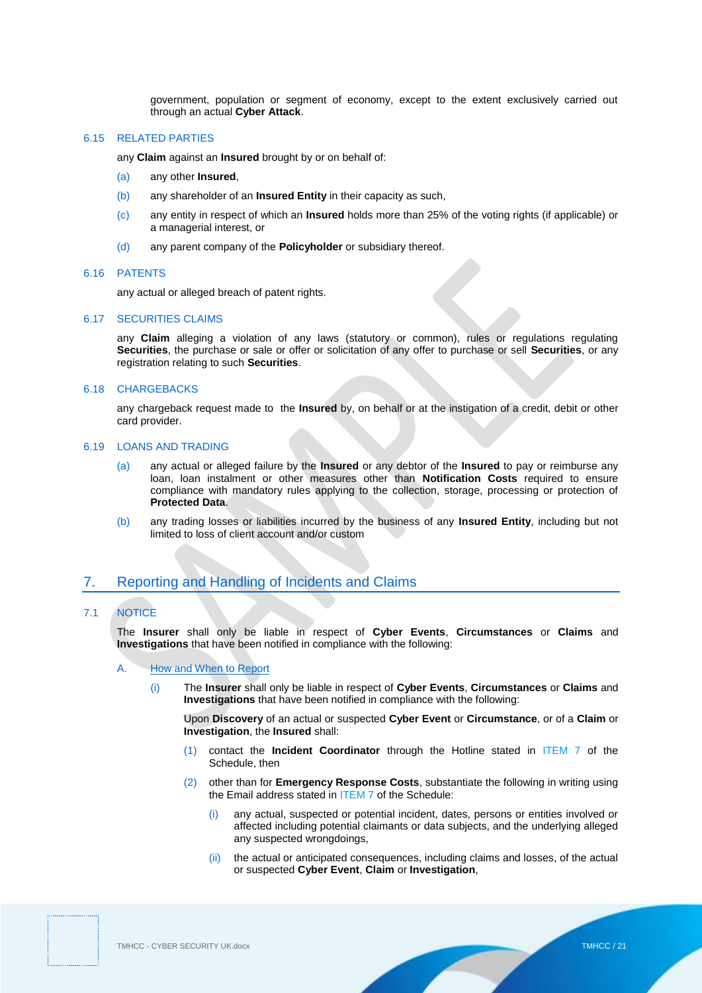government, population or segment of economy, except to the extent exclusively carried out through an actual **Cyber Attack**.

#### 6.15 RELATED PARTIES

any **Claim** against an **Insured** brought by or on behalf of:

- (a) any other **Insured**,
- (b) any shareholder of an **Insured Entity** in their capacity as such,
- (c) any entity in respect of which an **Insured** holds more than 25% of the voting rights (if applicable) or a managerial interest, or
- (d) any parent company of the **Policyholder** or subsidiary thereof.

#### 6.16 PATENTS

any actual or alleged breach of patent rights.

### 6.17 SECURITIES CLAIMS

any **Claim** alleging a violation of any laws (statutory or common), rules or regulations regulating **Securities**, the purchase or sale or offer or solicitation of any offer to purchase or sell **Securities**, or any registration relating to such **Securities**.

#### 6.18 CHARGEBACKS

any chargeback request made to the **Insured** by, on behalf or at the instigation of a credit, debit or other card provider.

### 6.19 LOANS AND TRADING

- (a) any actual or alleged failure by the **Insured** or any debtor of the **Insured** to pay or reimburse any loan, loan instalment or other measures other than **Notification Costs** required to ensure compliance with mandatory rules applying to the collection, storage, processing or protection of **Protected Data**.
- (b) any trading losses or liabilities incurred by the business of any **Insured Entity**, including but not limited to loss of client account and/or custom

### <span id="page-21-0"></span>7. Reporting and Handling of Incidents and Claims

### <span id="page-21-1"></span>7.1 NOTICE

The **Insurer** shall only be liable in respect of **Cyber Events**, **Circumstances** or **Claims** and **Investigations** that have been notified in compliance with the following:

#### <span id="page-21-2"></span>A. How and When to Report

(i) The **Insurer** shall only be liable in respect of **Cyber Events**, **Circumstances** or **Claims** and **Investigations** that have been notified in compliance with the following:

Upon **Discovery** of an actual or suspected **Cyber Event** or **Circumstance**, or of a **Claim** or **Investigation**, the **Insured** shall:

- (1) contact the **Incident Coordinator** through the Hotline stated in [ITEM 7](#page-3-1) of the Schedule, then
- (2) other than for **Emergency Response Costs**, substantiate the following in writing using the Email address stated in [ITEM 7](#page-3-1) of the Schedule:
	- (i) any actual, suspected or potential incident, dates, persons or entities involved or affected including potential claimants or data subjects, and the underlying alleged any suspected wrongdoings,
	- (ii) the actual or anticipated consequences, including claims and losses, of the actual or suspected **Cyber Event**, **Claim** or **Investigation**,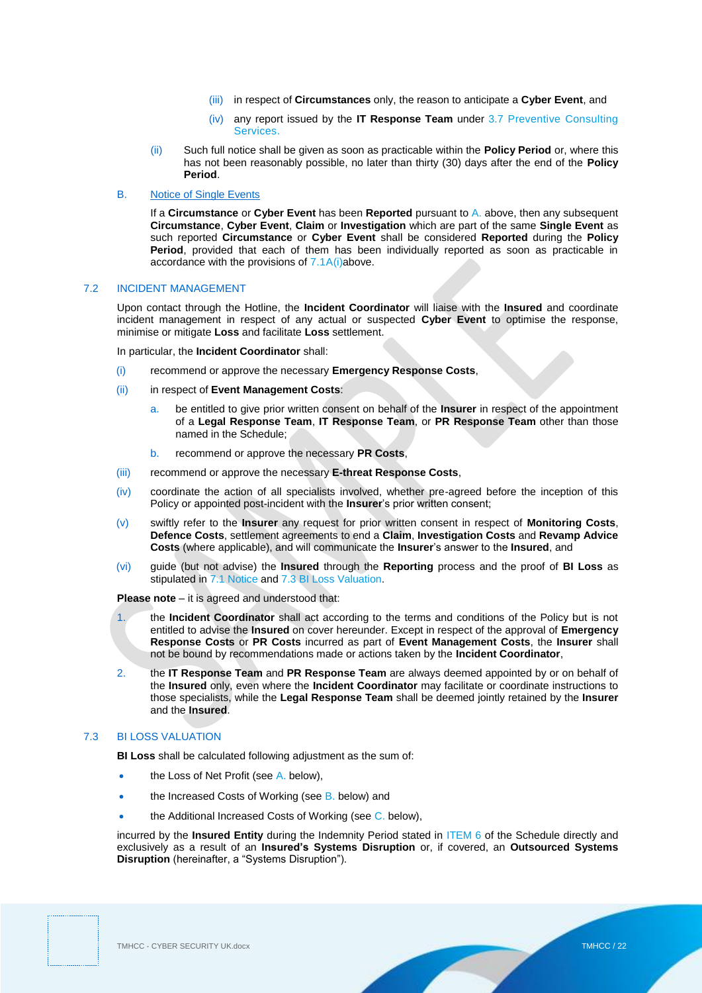- (iii) in respect of **Circumstances** only, the reason to anticipate a **Cyber Event**, and
- (iv) any report issued by the **IT Response Team** under [3.7](#page-9-1) Preventive Consulting **Services**
- (ii) Such full notice shall be given as soon as practicable within the **Policy Period** or, where this has not been reasonably possible, no later than thirty (30) days after the end of the **Policy Period**.

<span id="page-22-0"></span>B. Notice of Single Events

If a **Circumstance** or **Cyber Event** has been **Reported** pursuant to A. above, then any subsequent **Circumstance**, **Cyber Event**, **Claim** or **Investigation** which are part of the same **Single Event** as such reported **Circumstance** or **Cyber Event** shall be considered **Reported** during the **Policy Period**, provided that each of them has been individually reported as soon as practicable in accordance with the provisions of 7.[1A\(i\)a](#page-21-2)bove.

#### 7.2 INCIDENT MANAGEMENT

Upon contact through the Hotline, the **Incident Coordinator** will liaise with the **Insured** and coordinate incident management in respect of any actual or suspected **Cyber Event** to optimise the response, minimise or mitigate **Loss** and facilitate **Loss** settlement.

In particular, the **Incident Coordinator** shall:

- (i) recommend or approve the necessary **Emergency Response Costs**,
- (ii) in respect of **Event Management Costs**:
	- a. be entitled to give prior written consent on behalf of the **Insurer** in respect of the appointment of a **Legal Response Team**, **IT Response Team**, or **PR Response Team** other than those named in the Schedule;
	- b. recommend or approve the necessary **PR Costs**,
- (iii) recommend or approve the necessary **E-threat Response Costs**,
- (iv) coordinate the action of all specialists involved, whether pre-agreed before the inception of this Policy or appointed post-incident with the **Insurer**'s prior written consent;
- (v) swiftly refer to the **Insurer** any request for prior written consent in respect of **Monitoring Costs**, **Defence Costs**, settlement agreements to end a **Claim**, **Investigation Costs** and **Revamp Advice Costs** (where applicable), and will communicate the **Insurer**'s answer to the **Insured**, and
- (vi) guide (but not advise) the **Insured** through the **Reporting** process and the proof of **BI Loss** as stipulated in [7.1](#page-21-1) Notice an[d 7.3](#page-22-1) BI Loss Valuation.

**Please note** – it is agreed and understood that:

- 1. the **Incident Coordinator** shall act according to the terms and conditions of the Policy but is not entitled to advise the **Insured** on cover hereunder. Except in respect of the approval of **Emergency Response Costs** or **PR Costs** incurred as part of **Event Management Costs**, the **Insurer** shall not be bound by recommendations made or actions taken by the **Incident Coordinator**,
- 2. the **IT Response Team** and **PR Response Team** are always deemed appointed by or on behalf of the **Insured** only, even where the **Incident Coordinator** may facilitate or coordinate instructions to those specialists, while the **Legal Response Team** shall be deemed jointly retained by the **Insurer** and the **Insured**.

### <span id="page-22-1"></span>7.3 BI LOSS VALUATION

**BI Loss** shall be calculated following adjustment as the sum of:

- the Loss of Net Profit (see A. below),
- the Increased Costs of Working (see B. below) and
- the Additional Increased Costs of Working (see C. below),

incurred by the **Insured Entity** during the Indemnity Period stated in [ITEM 6](#page-3-2) of the Schedule directly and exclusively as a result of an **Insured's Systems Disruption** or, if covered, an **Outsourced Systems Disruption** (hereinafter, a "Systems Disruption").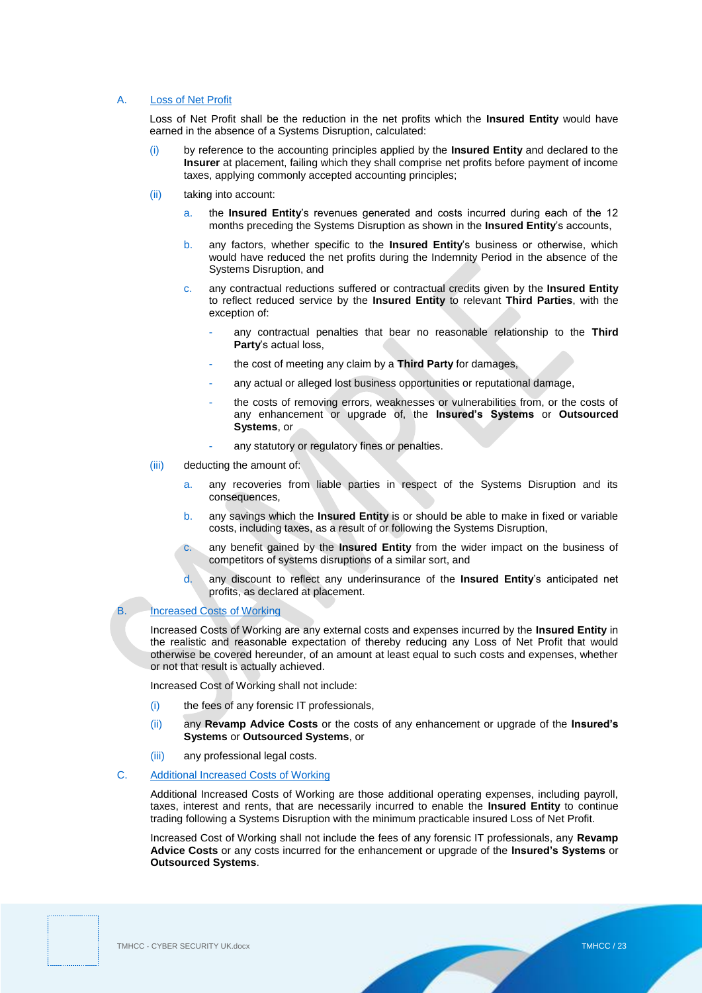#### A. Loss of Net Profit

Loss of Net Profit shall be the reduction in the net profits which the **Insured Entity** would have earned in the absence of a Systems Disruption, calculated:

- (i) by reference to the accounting principles applied by the **Insured Entity** and declared to the **Insurer** at placement, failing which they shall comprise net profits before payment of income taxes, applying commonly accepted accounting principles;
- (ii) taking into account:
	- a. the **Insured Entity**'s revenues generated and costs incurred during each of the 12 months preceding the Systems Disruption as shown in the **Insured Entity**'s accounts,
	- b. any factors, whether specific to the **Insured Entity**'s business or otherwise, which would have reduced the net profits during the Indemnity Period in the absence of the Systems Disruption, and
	- c. any contractual reductions suffered or contractual credits given by the **Insured Entity** to reflect reduced service by the **Insured Entity** to relevant **Third Parties**, with the exception of:
		- any contractual penalties that bear no reasonable relationship to the **Third Party**'s actual loss,
		- the cost of meeting any claim by a **Third Party** for damages,
		- any actual or alleged lost business opportunities or reputational damage,
		- the costs of removing errors, weaknesses or vulnerabilities from, or the costs of any enhancement or upgrade of, the **Insured's Systems** or **Outsourced Systems**, or
		- any statutory or regulatory fines or penalties.
- (iii) deducting the amount of:
	- a. any recoveries from liable parties in respect of the Systems Disruption and its consequences,
	- b. any savings which the **Insured Entity** is or should be able to make in fixed or variable costs, including taxes, as a result of or following the Systems Disruption,
	- c. any benefit gained by the **Insured Entity** from the wider impact on the business of competitors of systems disruptions of a similar sort, and
	- d. any discount to reflect any underinsurance of the **Insured Entity**'s anticipated net profits, as declared at placement.

### B. Increased Costs of Working

Increased Costs of Working are any external costs and expenses incurred by the **Insured Entity** in the realistic and reasonable expectation of thereby reducing any Loss of Net Profit that would otherwise be covered hereunder, of an amount at least equal to such costs and expenses, whether or not that result is actually achieved.

Increased Cost of Working shall not include:

- (i) the fees of any forensic IT professionals,
- (ii) any **Revamp Advice Costs** or the costs of any enhancement or upgrade of the **Insured's Systems** or **Outsourced Systems**, or
- (iii) any professional legal costs.

#### C. Additional Increased Costs of Working

Additional Increased Costs of Working are those additional operating expenses, including payroll, taxes, interest and rents, that are necessarily incurred to enable the **Insured Entity** to continue trading following a Systems Disruption with the minimum practicable insured Loss of Net Profit.

Increased Cost of Working shall not include the fees of any forensic IT professionals, any **Revamp Advice Costs** or any costs incurred for the enhancement or upgrade of the **Insured's Systems** or **Outsourced Systems**.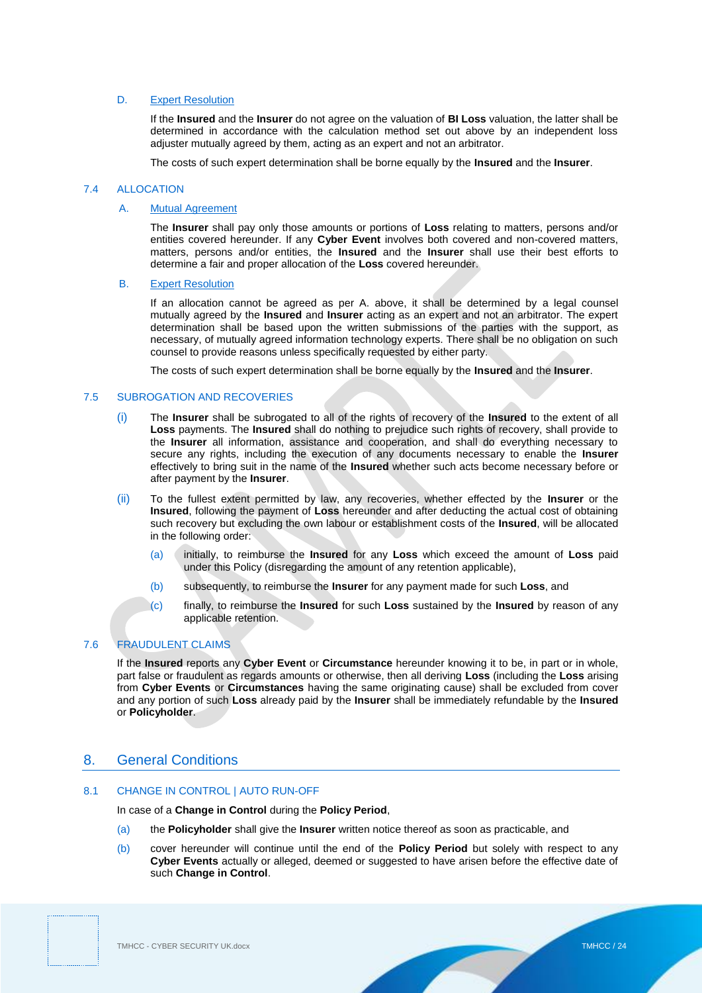### D. Expert Resolution

If the **Insured** and the **Insurer** do not agree on the valuation of **BI Loss** valuation, the latter shall be determined in accordance with the calculation method set out above by an independent loss adjuster mutually agreed by them, acting as an expert and not an arbitrator.

The costs of such expert determination shall be borne equally by the **Insured** and the **Insurer**.

### 7.4 ALLOCATION

### A. Mutual Agreement

The **Insurer** shall pay only those amounts or portions of **Loss** relating to matters, persons and/or entities covered hereunder. If any **Cyber Event** involves both covered and non-covered matters, matters, persons and/or entities, the **Insured** and the **Insurer** shall use their best efforts to determine a fair and proper allocation of the **Loss** covered hereunder.

#### B. Expert Resolution

If an allocation cannot be agreed as per A. above, it shall be determined by a legal counsel mutually agreed by the **Insured** and **Insurer** acting as an expert and not an arbitrator. The expert determination shall be based upon the written submissions of the parties with the support, as necessary, of mutually agreed information technology experts. There shall be no obligation on such counsel to provide reasons unless specifically requested by either party.

The costs of such expert determination shall be borne equally by the **Insured** and the **Insurer**.

#### 7.5 SUBROGATION AND RECOVERIES

- (i) The **Insurer** shall be subrogated to all of the rights of recovery of the **Insured** to the extent of all **Loss** payments. The **Insured** shall do nothing to prejudice such rights of recovery, shall provide to the **Insurer** all information, assistance and cooperation, and shall do everything necessary to secure any rights, including the execution of any documents necessary to enable the **Insurer** effectively to bring suit in the name of the **Insured** whether such acts become necessary before or after payment by the **Insurer**.
- (ii) To the fullest extent permitted by law, any recoveries, whether effected by the **Insurer** or the **Insured**, following the payment of **Loss** hereunder and after deducting the actual cost of obtaining such recovery but excluding the own labour or establishment costs of the **Insured**, will be allocated in the following order:
	- (a) initially, to reimburse the **Insured** for any **Loss** which exceed the amount of **Loss** paid under this Policy (disregarding the amount of any retention applicable),
	- (b) subsequently, to reimburse the **Insurer** for any payment made for such **Loss**, and
	- (c) finally, to reimburse the **Insured** for such **Loss** sustained by the **Insured** by reason of any applicable retention.

### 7.6 FRAUDULENT CLAIMS

If the **Insured** reports any **Cyber Event** or **Circumstance** hereunder knowing it to be, in part or in whole, part false or fraudulent as regards amounts or otherwise, then all deriving **Loss** (including the **Loss** arising from **Cyber Events** or **Circumstances** having the same originating cause) shall be excluded from cover and any portion of such **Loss** already paid by the **Insurer** shall be immediately refundable by the **Insured** or **Policyholder**.

### <span id="page-24-0"></span>8. General Conditions

### 8.1 CHANGE IN CONTROL | AUTO RUN-OFF

In case of a **Change in Control** during the **Policy Period**,

- (a) the **Policyholder** shall give the **Insurer** written notice thereof as soon as practicable, and
- (b) cover hereunder will continue until the end of the **Policy Period** but solely with respect to any **Cyber Events** actually or alleged, deemed or suggested to have arisen before the effective date of such **Change in Control**.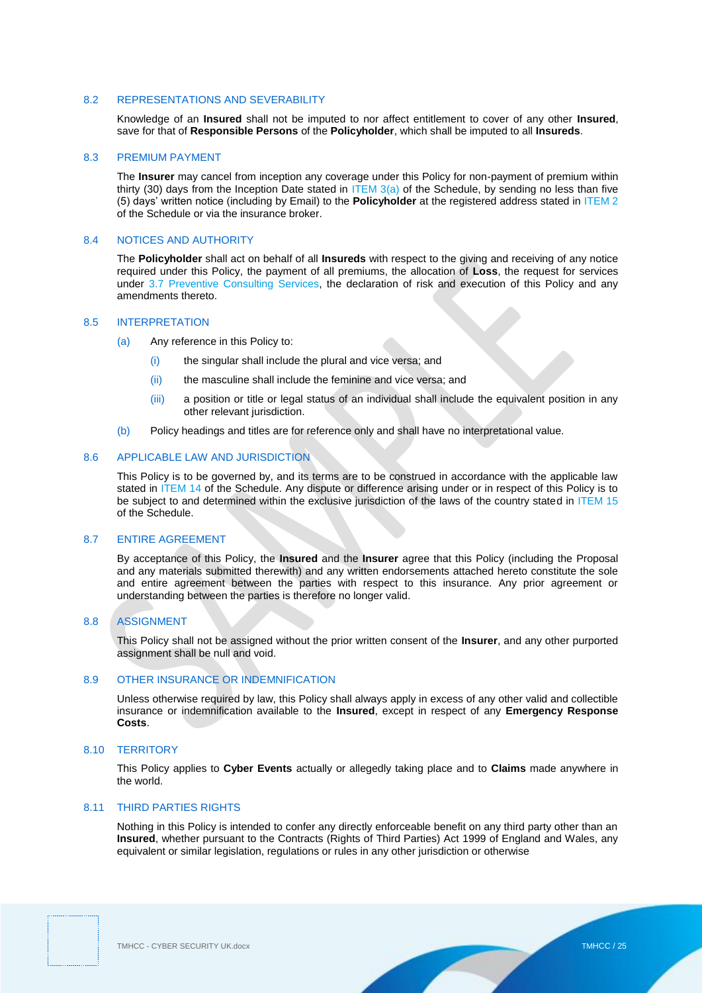### 8.2 REPRESENTATIONS AND SEVERABILITY

Knowledge of an **Insured** shall not be imputed to nor affect entitlement to cover of any other **Insured**, save for that of **Responsible Persons** of the **Policyholder**, which shall be imputed to all **Insureds**.

#### 8.3 PREMIUM PAYMENT

The **Insurer** may cancel from inception any coverage under this Policy for non-payment of premium within thirty (30) days from the Inception Date stated in  $ITEM$  3(a) of the Schedule, by sending no less than five (5) days' written notice (including by Email) to the **Policyholder** at the registered address stated in [ITEM 2](#page-2-3) of the Schedule or via the insurance broker.

#### 8.4 NOTICES AND AUTHORITY

The **Policyholder** shall act on behalf of all **Insureds** with respect to the giving and receiving of any notice required under this Policy, the payment of all premiums, the allocation of **Loss**, the request for services under [3.7](#page-9-1) Preventive Consulting Services, the declaration of risk and execution of this Policy and any amendments thereto.

### 8.5 INTERPRETATION

- (a) Any reference in this Policy to:
	- (i) the singular shall include the plural and vice versa; and
	- (ii) the masculine shall include the feminine and vice versa; and
	- (iii) a position or title or legal status of an individual shall include the equivalent position in any other relevant jurisdiction.
- (b) Policy headings and titles are for reference only and shall have no interpretational value.

### 8.6 APPLICABLE LAW AND JURISDICTION

This Policy is to be governed by, and its terms are to be construed in accordance with the applicable law stated in [ITEM 14](#page-4-2) of the Schedule. Any dispute or difference arising under or in respect of this Policy is to be subject to and determined within the exclusive jurisdiction of the laws of the country stated in [ITEM 15](#page-4-3) of the Schedule.

### 8.7 ENTIRE AGREEMENT

By acceptance of this Policy, the **Insured** and the **Insurer** agree that this Policy (including the Proposal and any materials submitted therewith) and any written endorsements attached hereto constitute the sole and entire agreement between the parties with respect to this insurance. Any prior agreement or understanding between the parties is therefore no longer valid.

#### 8.8 ASSIGNMENT

This Policy shall not be assigned without the prior written consent of the **Insurer**, and any other purported assignment shall be null and void.

### 8.9 OTHER INSURANCE OR INDEMNIFICATION

Unless otherwise required by law, this Policy shall always apply in excess of any other valid and collectible insurance or indemnification available to the **Insured**, except in respect of any **Emergency Response Costs**.

#### 8.10 TERRITORY

This Policy applies to **Cyber Events** actually or allegedly taking place and to **Claims** made anywhere in the world.

#### 8.11 THIRD PARTIES RIGHTS

Nothing in this Policy is intended to confer any directly enforceable benefit on any third party other than an **Insured**, whether pursuant to the Contracts (Rights of Third Parties) Act 1999 of England and Wales, any equivalent or similar legislation, regulations or rules in any other jurisdiction or otherwise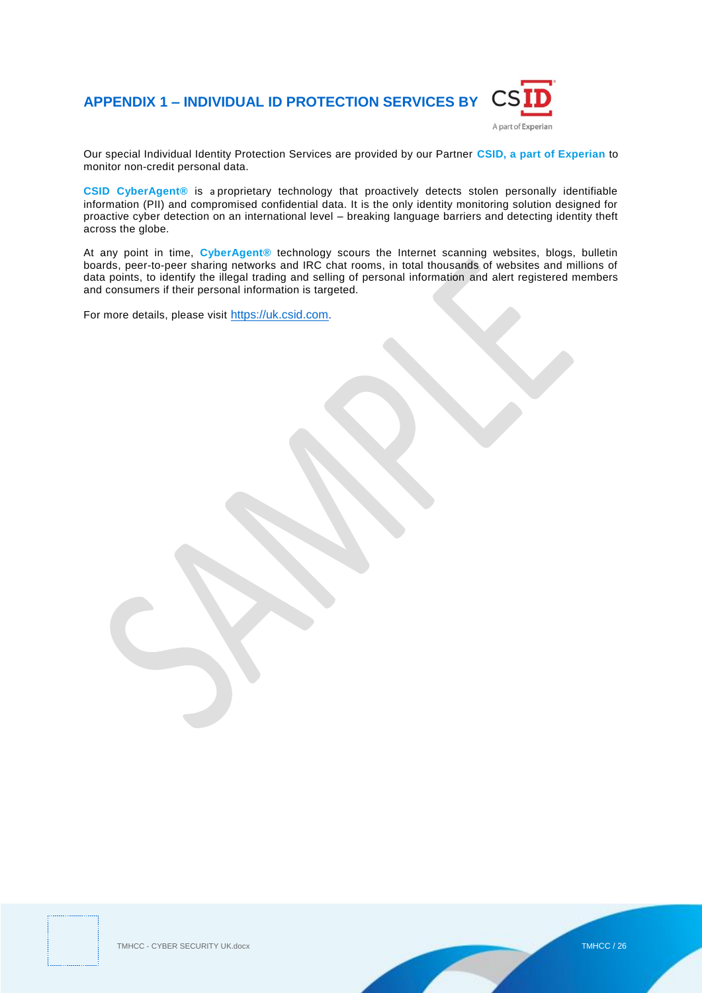<span id="page-26-0"></span>

Our special Individual Identity Protection Services are provided by our Partner **CSID, a part of Experian** to monitor non-credit personal data.

**CSID CyberAgent®** is a proprietary technology that proactively detects stolen personally identifiable information (PII) and compromised confidential data. It is the only identity monitoring solution designed for proactive cyber detection on an international level – breaking language barriers and detecting identity theft across the globe.

At any point in time, **CyberAgent®** technology scours the Internet scanning websites, blogs, bulletin boards, peer-to-peer sharing networks and IRC chat rooms, in total thousands of websites and millions of data points, to identify the illegal trading and selling of personal information and alert registered members and consumers if their personal information is targeted.

For more details, please visit [https://uk.csid.com](https://uk.csid.com/).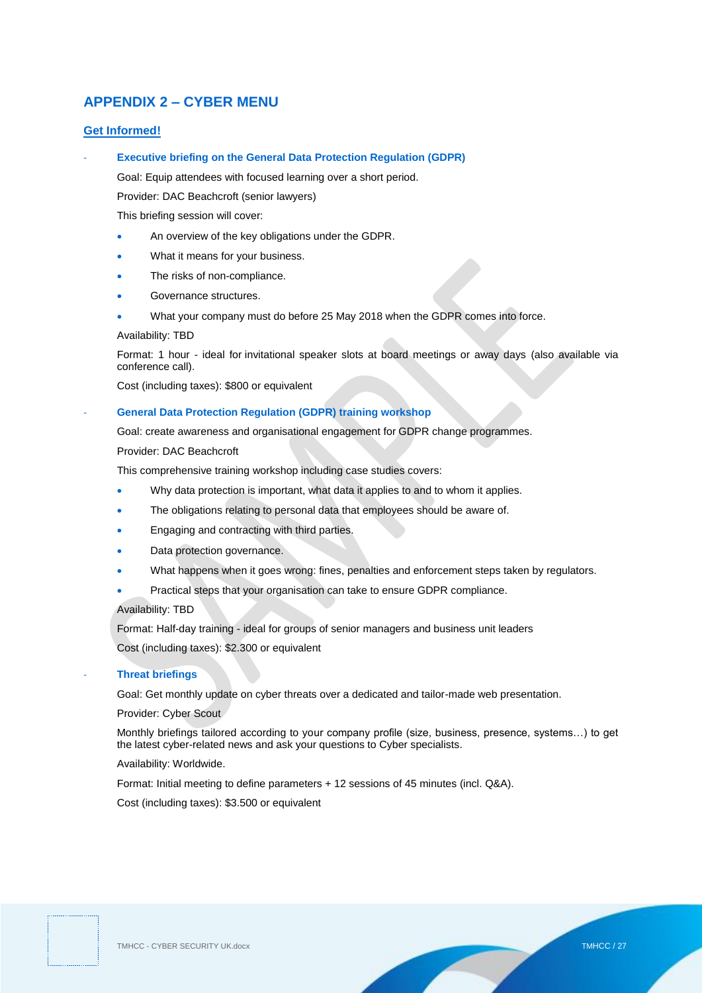# <span id="page-27-0"></span>**APPENDIX 2 – CYBER MENU**

### **Get Informed!**

- **Executive briefing on the General Data Protection Regulation (GDPR)**

Goal: Equip attendees with focused learning over a short period.

Provider: DAC Beachcroft (senior lawyers)

This briefing session will cover:

- An overview of the key obligations under the GDPR.
- What it means for your business.
- The risks of non-compliance.
- Governance structures.
- What your company must do before 25 May 2018 when the GDPR comes into force.

Availability: TBD

Format: 1 hour - ideal for invitational speaker slots at board meetings or away days (also available via conference call).

Cost (including taxes): \$800 or equivalent

### **General Data Protection Regulation (GDPR) training workshop**

Goal: create awareness and organisational engagement for GDPR change programmes.

Provider: DAC Beachcroft

This comprehensive training workshop including case studies covers:

- Why data protection is important, what data it applies to and to whom it applies.
- The obligations relating to personal data that employees should be aware of.
- Engaging and contracting with third parties.
- Data protection governance.
- What happens when it goes wrong: fines, penalties and enforcement steps taken by regulators.
- Practical steps that your organisation can take to ensure GDPR compliance.

Availability: TBD

Format: Half-day training - ideal for groups of senior managers and business unit leaders Cost (including taxes): \$2.300 or equivalent

- **Threat briefings**

Goal: Get monthly update on cyber threats over a dedicated and tailor-made web presentation.

Provider: Cyber Scout

Monthly briefings tailored according to your company profile (size, business, presence, systems…) to get the latest cyber-related news and ask your questions to Cyber specialists.

Availability: Worldwide.

Format: Initial meeting to define parameters + 12 sessions of 45 minutes (incl. Q&A).

Cost (including taxes): \$3.500 or equivalent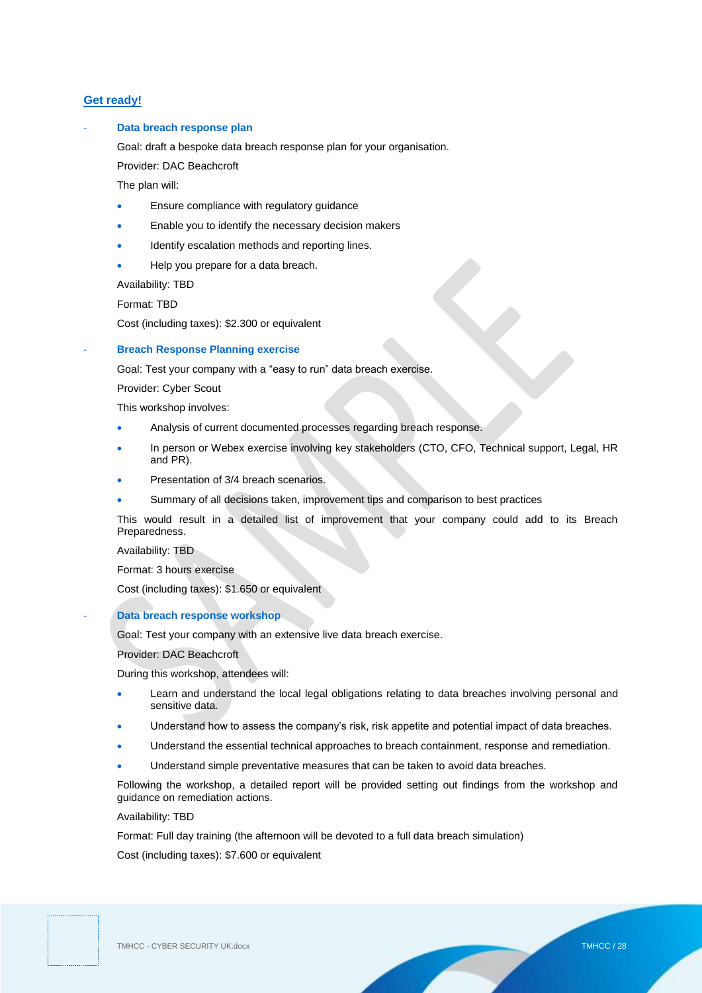### **Get ready!**

#### **Data breach response plan**

Goal: draft a bespoke data breach response plan for your organisation.

Provider: DAC Beachcroft

The plan will:

- Ensure compliance with regulatory guidance
- Enable you to identify the necessary decision makers
- Identify escalation methods and reporting lines.
- Help you prepare for a data breach.

Availability: TBD

Format: TBD

Cost (including taxes): \$2.300 or equivalent

#### **Breach Response Planning exercise**

Goal: Test your company with a "easy to run" data breach exercise.

Provider: Cyber Scout

This workshop involves:

- Analysis of current documented processes regarding breach response.
- In person or Webex exercise involving key stakeholders (CTO, CFO, Technical support, Legal, HR and PR).
- Presentation of 3/4 breach scenarios.
- Summary of all decisions taken, improvement tips and comparison to best practices

This would result in a detailed list of improvement that your company could add to its Breach Preparedness.

Availability: TBD

Format: 3 hours exercise

Cost (including taxes): \$1.650 or equivalent

**Data breach response workshop** 

Goal: Test your company with an extensive live data breach exercise.

Provider: DAC Beachcroft

During this workshop, attendees will:

- Learn and understand the local legal obligations relating to data breaches involving personal and sensitive data.
- Understand how to assess the company's risk, risk appetite and potential impact of data breaches.
- Understand the essential technical approaches to breach containment, response and remediation.
- Understand simple preventative measures that can be taken to avoid data breaches.

Following the workshop, a detailed report will be provided setting out findings from the workshop and guidance on remediation actions.

#### Availability: TBD

Format: Full day training (the afternoon will be devoted to a full data breach simulation)

Cost (including taxes): \$7.600 or equivalent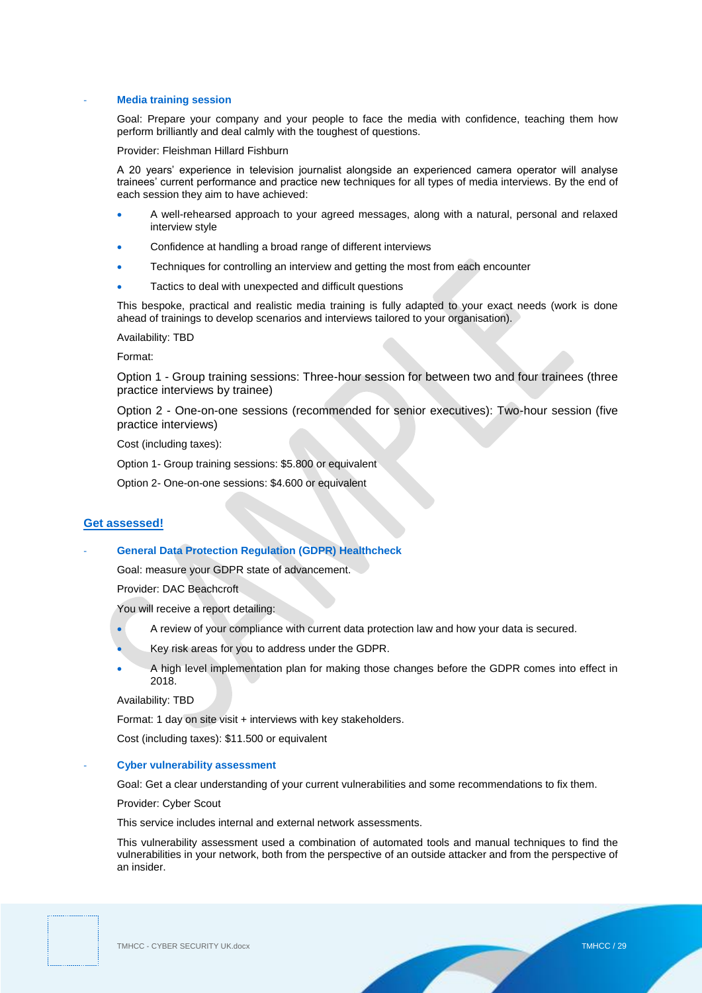#### **Media training session**

Goal: Prepare your company and your people to face the media with confidence, teaching them how perform brilliantly and deal calmly with the toughest of questions.

Provider: Fleishman Hillard Fishburn

A 20 years' experience in television journalist alongside an experienced camera operator will analyse trainees' current performance and practice new techniques for all types of media interviews. By the end of each session they aim to have achieved:

- A well-rehearsed approach to your agreed messages, along with a natural, personal and relaxed interview style
- Confidence at handling a broad range of different interviews
- Techniques for controlling an interview and getting the most from each encounter
- Tactics to deal with unexpected and difficult questions

This bespoke, practical and realistic media training is fully adapted to your exact needs (work is done ahead of trainings to develop scenarios and interviews tailored to your organisation).

#### Availability: TBD

Format:

Option 1 - Group training sessions: Three-hour session for between two and four trainees (three practice interviews by trainee)

Option 2 - One-on-one sessions (recommended for senior executives): Two-hour session (five practice interviews)

Cost (including taxes):

Option 1- Group training sessions: \$5.800 or equivalent

Option 2- One-on-one sessions: \$4.600 or equivalent

### **Get assessed!**

### - **General Data Protection Regulation (GDPR) Healthcheck**

Goal: measure your GDPR state of advancement.

Provider: DAC Beachcroft

You will receive a report detailing:

- A review of your compliance with current data protection law and how your data is secured.
- Key risk areas for you to address under the GDPR.
- A high level implementation plan for making those changes before the GDPR comes into effect in 2018.

#### Availability: TBD

Format: 1 day on site visit + interviews with key stakeholders.

Cost (including taxes): \$11.500 or equivalent

### **Cyber vulnerability assessment**

Goal: Get a clear understanding of your current vulnerabilities and some recommendations to fix them.

Provider: Cyber Scout

This service includes internal and external network assessments.

This vulnerability assessment used a combination of automated tools and manual techniques to find the vulnerabilities in your network, both from the perspective of an outside attacker and from the perspective of an insider.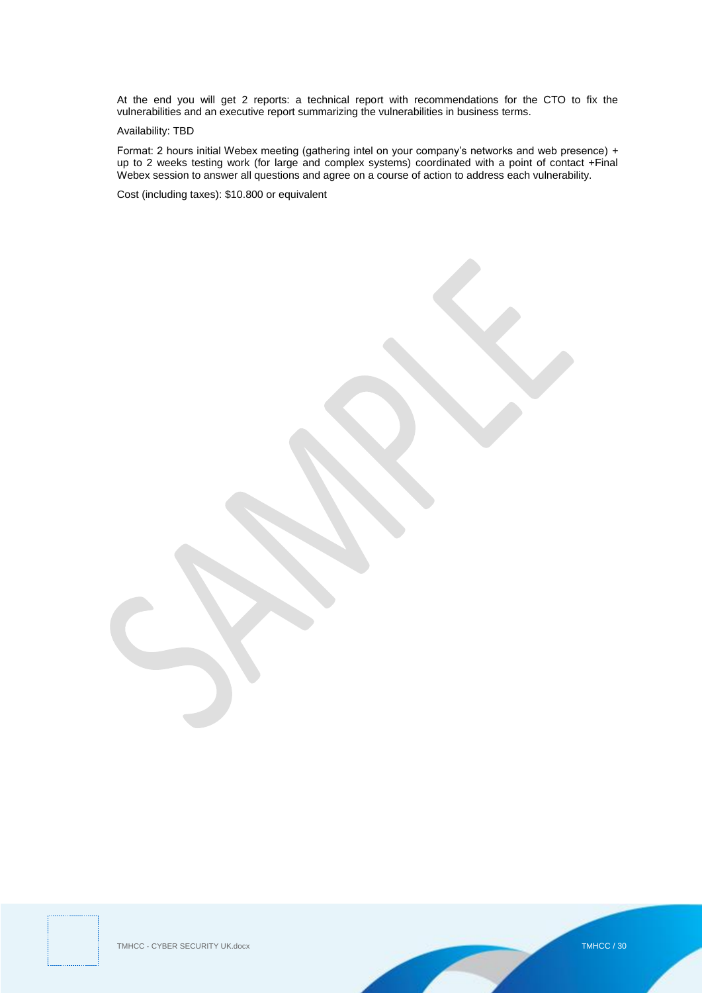At the end you will get 2 reports: a technical report with recommendations for the CTO to fix the vulnerabilities and an executive report summarizing the vulnerabilities in business terms.

### Availability: TBD

Format: 2 hours initial Webex meeting (gathering intel on your company's networks and web presence) + up to 2 weeks testing work (for large and complex systems) coordinated with a point of contact +Final Webex session to answer all questions and agree on a course of action to address each vulnerability.

Cost (including taxes): \$10.800 or equivalent

TMHCC - CYBER SECURITY UK.docx TMHCC / 30